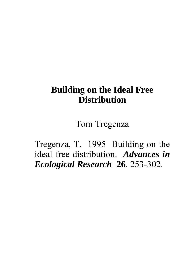# **Building on the Ideal Free Distribution**

Tom Tregenza

Tregenza, T. 1995 Building on the ideal free distribution. *Advances in Ecological Research* **26**. 253-302.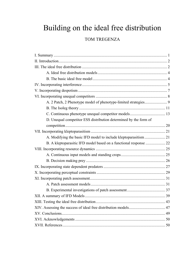# Building on the ideal free distribution

# TOM TREGENZA

| A. 2 Patch, 2 Phenotype model of phenotype-limited strategies 9   |  |
|-------------------------------------------------------------------|--|
|                                                                   |  |
|                                                                   |  |
| D. Unequal competitor ESS distribution determined by the form of  |  |
|                                                                   |  |
|                                                                   |  |
|                                                                   |  |
| B. A kleptoparasitic IFD model based on a functional response  22 |  |
|                                                                   |  |
|                                                                   |  |
|                                                                   |  |
|                                                                   |  |
|                                                                   |  |
|                                                                   |  |
|                                                                   |  |
|                                                                   |  |
|                                                                   |  |
|                                                                   |  |
|                                                                   |  |
|                                                                   |  |
|                                                                   |  |
|                                                                   |  |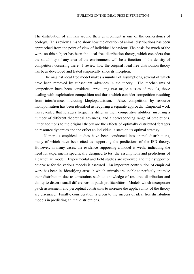The distribution of animals around their environment is one of the cornerstones of ecology. This review aims to show how the question of animal distributions has been approached from the point of view of individual behaviour. The basis for much of the work on this subject has been the ideal free distribution theory, which considers that the suitability of any area of the environment will be a function of the density of competitors occurring there. I review how the original ideal free distribution theory has been developed and tested empirically since its inception.

 The original ideal free model makes a number of assumptions, several of which have been removed by subsequent advances in the theory. The mechanisms of competition have been considered, producing two major classes of models, those dealing with exploitation competition and those which consider competition resulting from interference, including kleptoparasitism. Also, competition by resource monopolisation has been identified as requiring a separate approach. Empirical work has revealed that foragers frequently differ in their competitive abilities, inspiring a number of different theoretical advances, and a corresponding range of predictions. Other additions to the original theory are the effects of optimally distributed foragers on resource dynamics and the effect an individual's state on its optimal strategy.

 Numerous empirical studies have been conducted into animal distributions, many of which have been cited as supporting the predictions of the IFD theory. However, in many cases, the evidence supporting a model is weak, indicating the need for experiments specifically designed to test the assumptions and predictions of a particular model. Experimental and field studies are reviewed and their support or otherwise for the various models is assessed. An important contribution of empirical work has been in identifying areas in which animals are unable to perfectly optimise their distribution due to constraints such as knowledge of resource distribution and ability to discern small differences in patch profitabilities. Models which incorporate patch assessment and perceptual constraints to increase the applicability of the theory are discussed. Finally, consideration is given to the success of ideal free distribution models in predicting animal distributions.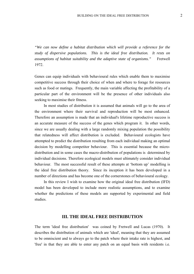*"We can now define a habitat distribution which will provide a reference for the study of dispersive populations. This is the ideal free distribution. It rests on assumptions of habitat suitability and the adaptive state of organisms."* Fretwell 1972.

Genes can equip individuals with behavioural rules which enable them to maximise competitive success through their choice of when and where to forage for resources such as food or matings. Frequently, the main variable affecting the profitability of a particular part of the environment will be the presence of other individuals also seeking to maximise their fitness.

 In most studies of distribution it is assumed that animals will go to the area of the environment where their survival and reproduction will be most enhanced. Therefore an assumption is made that an individual's lifetime reproductive success is an accurate measure of the success of the genes which program it. In other words, since we are usually dealing with a large randomly mixing population the possibility that relatedness will affect distribution is excluded. Behavioural ecologists have attempted to predict the distribution resulting from each individual making an optimal decision by modelling competitor behaviour. This is essential because the microdistribution and in some cases the macro-distribution of populations is determined by individual decisions. Therefore ecological models must ultimately consider individual behaviour. The most successful result of these attempts at 'bottom up' modelling is the ideal free distribution theory. Since its inception it has been developed in a number of directions and has become one of the cornerstones of behavioural ecology.

 In this review I wish to examine how the original ideal free distribution (IFD) model has been developed to include more realistic assumptions, and to examine whether the predictions of these models are supported by experimental and field studies.

#### **III. THE IDEAL FREE DISTRIBUTION**

The term 'ideal free distribution' was coined by Fretwell and Lucas (1970). It describes the distribution of animals which are 'ideal', meaning that they are assumed to be omniscient and to always go to the patch where their intake rate is highest, and 'free' in that they are able to enter any patch on an equal basis with residents i.e.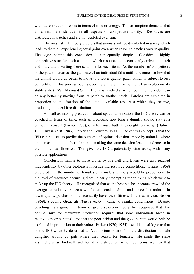without restriction or costs in terms of time or energy. This assumption demands that all animals are identical in all aspects of competitive ability. Resources are distributed in patches and are not depleted over time.

 The original IFD theory predicts that animals will be distributed in a way which leads to them all experiencing equal gains even when resource patches vary in quality. The logic behind this conclusion is conceptually simple. Consider a highly competitive situation such as one in which resource items constantly arrive at a patch and individuals waiting there scramble for each item. As the number of competitors in the patch increases, the gain rate of an individual falls until it becomes so low that the animal would do better to move to a lower quality patch which is subject to less competition. This process occurs over the entire environment until an evolutionarily stable state (ESS) (Maynard Smith 1982) is reached at which point no individual can do any better by moving from its patch to another patch. Patches are exploited in proportion to the fraction of the total available resources which they receive, producing the ideal free distribution.

 As well as making predictions about spatial distribution, the IFD theory can be couched in terms of time, such as predicting how long a dungfly should stay at a particular cowpat (Parker 1970), or when male butterflies ought to emerge (Bulmer 1983, Iwasa *et al.* 1983, Parker and Courtney 1983). The central concept is that the IFD can be used to predict the outcome of optimal decisions made by animals, where an increase in the number of animals making the same decision leads to a decrease in their individual fitnesses. This gives the IFD a potentially wide scope, with many possible applications.

 Conclusions similar to those drawn by Fretwell and Lucas were also reached independently by other biologists investigating resource competition. Orians (1969) predicted that the number of females on a male's territory would be proportional to the level of resources occurring there, clearly preempting the thinking which went to make up the IFD theory. He recognised that as the best patches become crowded the average reproductive success will be expected to drop, and hence that animals in lower quality patches do not necessarily have lower fitness. In the same year, Brown (1969), studying Great tits *(Parus major)* came to similar conclusions. Despite couching his argument in terms of group selection theory, he recognised that "the optimal mix for maximum production requires that some individuals breed in relatively poor habitats", and that the poor habitat and the good habitat would both be exploited in proportion to their value. Parker (1970; 1974) used identical logic to that in the IFD when he described an 'equilibrium position' of the distribution of male dungflies around cowpats where they search for females. He made the same assumptions as Fretwell and found a distribution which conforms well to that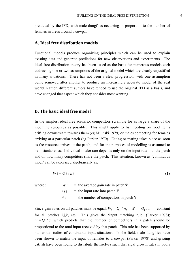predicted by the IFD, with male dungflies occurring in proportion to the number of females in areas around a cowpat.

#### **A. Ideal free distribution models**

Functional models produce organizing principles which can be used to explain existing data and generate predictions for new observations and experiments. The ideal free distribution theory has been used as the basis for numerous models each addressing one or two assumptions of the original model which are clearly unjustified in many situations. There has not been a clear progression, with one assumption being removed after another to produce an increasingly accurate model of the real world. Rather, different authors have tended to use the original IFD as a basis, and have changed that aspect which they consider most wanting.

#### **B. The basic ideal free model**

In the simplest ideal free scenario, competitors scramble for as large a share of the incoming resources as possible. This might apply to fish feeding on food items drifting downstream towards them (eg Milinski 1979) or males competing for females arriving at a particular patch (eg Parker 1970). Eating or mating takes place as soon as the resource arrives at the patch, and for the purposes of modelling is assumed to be instantaneous. Individual intake rate depends only on the input rate into the patch and on how many competitors share the patch. This situation, known as 'continuous input' can be expressed algebraically as:

$$
W i = Q i / n i \tag{1}
$$

| where : | $W_i$ = the average gain rate in patch 'i'     |
|---------|------------------------------------------------|
|         | $Q_i$ = the input rate into patch 'i'          |
|         | $n_i$ = the number of competitors in patch 'i' |

Since gain rates on all patches must be equal,  $W_i = Q_i / n_i = W_j / n_i = \text{constant}$ for all patches i,j,k, etc. This gives the 'input matching rule' (Parker 1978);  $n_1 = Q_1 / c$ , which predicts that the number of competitors in a patch should be proportional to the total input received by that patch. This rule has been supported by numerous studies of continuous input situations. In the field, male dungflies have been shown to match the input of females to a cowpat (Parker 1978) and grazing catfish have been found to distribute themselves such that algal growth rates in pools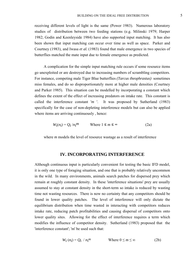receiving different levels of light is the same (Power 1983). Numerous laboratory studies of distribution between two feeding stations (e.g. Milinski 1979; Harper 1982; Godin and Keenleyside 1984) have also supported input matching. It has also been shown that input matching can occur over time as well as space. Parker and Courtney (1983), and Iwasa *et al.* (1983) found that male emergence in two species of butterflies matched the mate input due to female emergence as predicted.

 A complication for the simple input matching rule occurs if some resource items go unexploited or are destroyed due to increasing numbers of scrambling competitors. For instance, competing male Tiger Blue butterflies *(Tarcus theophrastus)* sometimes miss females, and do so disproportionately more at higher male densities (Courtney and Parker 1985). This situation can be modelled by incorporating a constant which defines the extent of the effect of increasing predators on intake rate. This constant is called the interference constant '*m* '. It was proposed by Sutherland (1983) specifically for the case of non-depleting interference models but can also be applied where items are arriving continuously , hence:

$$
W_{\mathbf{i}}(n_{\mathbf{i}}) = Q_{\mathbf{i}} / n_{\mathbf{i}}^m \qquad \text{Where } 1 \le m \le \infty \tag{2a}
$$

where *m* models the level of resource wastage as a result of interference

#### **IV. INCORPORATING INTERFERENCE**

Although continuous input is particularly convenient for testing the basic IFD model, it is only one type of foraging situation, and one that is probably relatively uncommon in the wild. In many environments, animals search patches for dispersed prey which remain at roughly constant density. In these 'interference situations' prey are usually assumed to stay at constant density in the short-term so intake is reduced by wasting time not wasting resources. There is now no certainty that any competitors should be found in lower quality patches. The level of interference will only dictate the equilibrium distribution when time wasted in interacting with competitors reduces intake rate, reducing patch profitabilities and causing dispersal of competitors onto lower quality sites. Allowing for the effect of interference requires a term which modifies the influence of competitor density. Sutherland (1983) proposed that the 'interference constant'; 'm' be used such that:

$$
W_1(n_1) = Q_1 / n_1^m \qquad \qquad \text{Where } 0 \le m \le \infty \tag{2b}
$$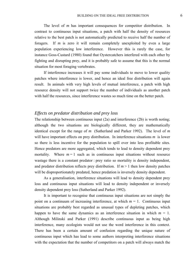The level of *m* has important consequences for competitor distribution. In contrast to continuous input situations, a patch with half the density of resources relative to the best patch is not automatically predicted to receive half the number of foragers. If *m* is zero it will remain completely unexploited by even a large population experiencing low interference. However this is rarely the case, for instance Goss-Custard (1980) found that Oystercatchers interfered with each other by fighting and disrupting prey, and it is probably safe to assume that this is the normal situation for most foraging vertebrates.

 If interference increases it will pay some individuals to move to lower quality patches where interference is lower, and hence an ideal free distribution will again result. In animals with very high levels of mutual interference, a patch with high resource density will not support twice the number of individuals as another patch with half the resources, since interference wastes so much time on the better patch.

#### *Effects on predator distribution and prey loss*

The relationship between continuous input (2a) and interference (2b) is worth noting; although the two situations are biologically different, they are mathematically identical except for the range of *m* (Sutherland and Parker 1992). The level of *m* will have important effects on prey distribution. In interference situations *m* is lower so there is less incentive for the population to spill over into less profitable sites. Hence predators are more aggregated, which tends to lead to density dependent prey mortality. Where  $m = 1$  such as in continuous input situations without resource wastage there is a constant predator : prey ratio so mortality is density independent, and predator distribution reflects prey distribution. If  $m > 1$  then low density patches will be disproportionately predated, hence predation is inversely density dependent.

 As a generalisation, interference situations will lead to density dependent prey loss and continuous input situations will lead to density independent or inversely density dependent prey loss (Sutherland and Parker 1992).

 It is important to recognise that continuous input situations are not simply the point on a continuum of increasing interference, at which  $m = 1$ . Continuous input situations are probably best regarded as unusual types of depleting patches, which happen to have the same dynamics as an interference situation in which  $m = 1$ . Although Milinski and Parker (1991) describe continuous input as being high interference, many ecologists would not use the word interference in this context. There has been a certain amount of confusion regarding the unique nature of continuous input which has lead to some authors interpreting interference situations with the expectation that the number of competitors on a patch will always match the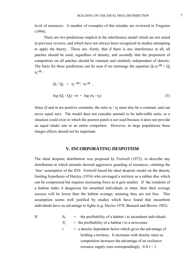level of resources. A number of examples of this mistake are reviewed in Tregenza (1994).

 There are two predictions implicit in the interference model which are not stated in previous reviews, and which have not always been recognised in studies attempting to apply the theory. These are: firstly, that if there is any interference at all, all patches should be used, regardless of density, and secondly that the proportion of competitors on all patches should be constant and similarly independent of density. The basis for these predictions can be seen if we rearrange the equation  $Q_i n_i^{-m} = Q_j$  $n_j$ <sup>-*m*</sup>:

$$
Q_{i} / Q_{j} = n_{j}^{-m} / n_{i}^{-m},
$$
  

$$
\log (Q_{i} / Q_{j}) / m = \log (n_{i} / n_{j})
$$
 (3)

Since Q and *m* are positive constants, the ratio  $n_i / n_j$  must also be a constant, and can never equal zero. The model does not consider animals to be indivisible units, so a situation could exist in which the poorest patch is not used because it does not provide an equal intake rate to an entire competitor. However, in large populations these integer effects should not be important.

#### **V. INCORPORATING DESPOTISM**

The ideal despotic distribution was proposed by Fretwell (1972), to describe any distribution in which animals showed aggressive guarding of resources, violating the 'free' assumption of the IFD. Fretwell based his ideal despotic model on the density limiting hypothesis of Huxley (1934) who envisaged a territory as a rubber disc which can be compressed but requires increasing force as it gets smaller. If the residents of a habitat make it dangerous for unsettled individuals to enter, then their average success will be lower than the habitat average, meaning they are not free. This assumption seems well justified by studies which have found that incumbent individuals have an advantage in fights (e.g. Davies 1978, Barnard and Brown 1982).

If 
$$
S_i
$$
 = the profitability of a habitat *i* to incumbent individuals.

 $T_1$  = the profitability of a habitat *i* to a newcomer.

 $t = a$  density dependent factor which gives the advantage of holding a territory. It increases with density since as competition increases the advantage of an exclusive resource supply rises correspondingly.  $0 \le t < 1$ .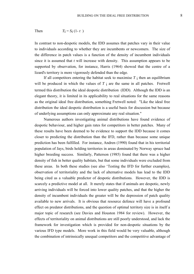Then 
$$
T_1 = S_1 (1 - t)
$$

In contrast to non-despotic models, the IDD assumes that patches vary in their value to individuals according to whether they are incumbents or newcomers. The size of the difference in patch values is a function of the density of incumbent individuals since it is assumed that *t* will increase with density. This assumption appears to be supported by observation, for instance, Harris (1964) showed that the centre of a lizard's territory is more vigorously defended than the edge.

If all competitors entering the habitat seek to maximise  $T_i$  then an equilibrium will be produced in which the values of  $T_i$  are the same in all patches. Fretwell termed this distribution the ideal despotic distribution (IDD). Although the IDD is an elegant theory, it is limited in its applicability to real situations for the same reasons as the original ideal free distribution, something Fretwell noted: "Like the ideal free distribution the ideal despotic distribution is a useful basis for discussion but because of underlying assumptions can only approximate any real situation."

 Numerous authors investigating animal distributions have found evidence of despotic behaviour, and higher gain rates for competitors in better patches. Many of these results have been deemed to be evidence to support the IDD because it comes closer to predicting the distribution than the IFD, rather than because some unique prediction has been fulfilled. For instance, Andren (1990) found that in his territorial population of Jays, birds holding territories in areas dominated by Norway spruce had higher breeding success. Similarly, Patterson (1985) found that there was a higher density of fish in better quality habitats, but that some individuals were excluded from these areas. In both these studies (see also 'Testing the IFD for further examples), observation of territoriality and the lack of alternative models has lead to the IDD being cited as a valuable predictor of despotic distributions. However, the IDD is scarcely a predictive model at all. It merely states that if animals are despotic, newly arriving individuals will be forced into lower quality patches, and that the higher the density of incumbent individuals the greater will be the depression of patch quality available to new arrivals. It is obvious that resource defence will have a profound effect on predator distributions, and the question of optimal territory size is in itself a major topic of research (see Davies and Houston 1984 for review). However, the effects of territoriality on animal distributions are still poorly understood, and lack the framework for investigation which is provided for non-despotic situations by the various IFD type models. More work in this field would be very valuable, although the combination of intrinsically unequal competitors and the competitive advantage of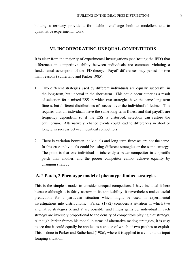holding a territory provide a formidable challenge both to modellers and to quantitative experimental work.

#### **VI. INCORPORATING UNEQUAL COMPETITORS**

It is clear from the majority of experimental investigations (see 'testing the IFD') that differences in competitive ability between individuals are common, violating a fundamental assumption of the IFD theory. Payoff differences may persist for two main reasons (Sutherland and Parker 1985):

- 1. Two different strategies used by different individuals are equally successful in the long-term, but unequal in the short-term. This could occur either as a result of selection for a mixed ESS in which two strategies have the same long term fitness, but different distributions of success over the individual's lifetime. This requires that all individuals have the same long-term fitness and that payoffs are frequency dependent, so if the ESS is disturbed, selection can restore the equilibrium. Alternatively, chance events could lead to differences in short or long term success between identical competitors.
- 2. There is variation between individuals and long-term fitnesses are not the same. In this case individuals could be using different strategies or the same strategy. The point is that one individual is inherently a better competitor in a specific patch than another, and the poorer competitor cannot achieve equality by changing strategy.

#### **A. 2 Patch, 2 Phenotype model of phenotype-limited strategies**

This is the simplest model to consider unequal competitors, I have included it here because although it is fairly narrow in its applicability, it nevertheless makes useful predictions for a particular situation which might be used in experimental investigations into distributions. Parker (1982) considers a situation in which two alternative strategies X and Y are possible, and fitness gains per individual in each strategy are inversely proportional to the density of competitors playing that strategy. Although Parker frames his model in terms of alternative mating strategies, it is easy to see that it could equally be applied to a choice of which of two patches to exploit. This is done in Parker and Sutherland (1986), where it is applied to a continuous input foraging situation.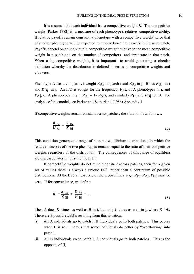It is assumed that each individual has a competitive weight *K*. The competitive weight (Parker 1982) is a measure of each phenotype's relative competitive ability. If relative payoffs remain constant, a phenotype with a competitive weight twice that of another phenotype will be expected to receive twice the payoffs in the same patch. Payoffs depend on an individual's competitive weight relative to the mean competitive weight in a patch and on the number of competitors and input rate in that patch. When using competitive weights, it is important to avoid generating a circular definition whereby the distribution is defined in terms of competitive weights and vice versa.

Phenotype A has a competitive weight *K*Ai in patch i and *K*Aj in j; B has *K*Bi in i and *K*Bj in j. An IFD is sought for the frequency, *P*Ai, of A phenotypes in i, and *P*Aj, of A phenotypes in j ( $PA$ i = 1- $PA$ j), and similarly *P*Bi and *P*Bj for B. For analysis of this model, see Parker and Sutherland (1986) Appendix 1.

If competitive weights remain constant across patches, the situation is as follows:

$$
\frac{K_{\text{Ai}}}{K_{\text{Aj}}} = \frac{K_{\text{Bi}}}{K_{\text{Bj}}}
$$
\n(4)

This condition generates a range of possible equilibrium distributions, in which the relative fitnesses of the two phenotypes remains equal to the ratio of their competitive weights regardless of the distribution. The consequences of this range of equilibria are discussed later in 'Testing the IFD'.

 If competitive weights do not remain constant across patches, then for a given set of values there is always a unique ESS, rather than a continuum of possible distributions. At the ESS at least one of the probabilities *P*Ai, *P*Bi, *P*Aj, *P*Bj must be zero. If for convenience, we define

$$
K = \frac{K_{\text{Ai}}}{K_{\text{Bi}}} > \frac{K_{\text{Aj}}}{K_{\text{Bj}}} = L
$$
\n(5)

Then A does K times as well as B in i, but only L times as well in j, where  $K > L$ . There are 3 possible ESS's resulting from this situation:

- (i) All A individuals go to patch i, B individuals go to both patches. This occurs when B is so numerous that some individuals do better by "overflowing" into patch i.
- (ii) All B individuals go to patch j, A individuals go to both patches. This is the opposite of (i).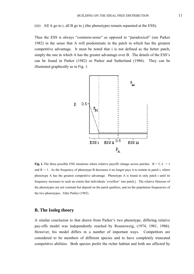(iii) All A go to i, all B go to j (the phenotypes remain separated at the ESS).

Thus the ESS is always "common-sense" as opposed to "paradoxical" (see Parker 1982) in the sense that A will predominate in the patch in which has the greatest competitive advantage. It must be noted that i is not defined as the better patch, simply the one in which A has the greater advantage over B. The details of the ESS's can be found in Parker (1982) or Parker and Sutherland (1986). They can be illustrated graphically as in Fig. 1.



**Fig. 1.** The three possible ESS situations where relative payoffs change across patches.  $K = 5$ ,  $L = 1$ and  $R = 1$ . As the frequency of phenotype B decreases it no longer pays it to remain in patch i, where phenotype A has the greatest competitive advantage. Phenotype A is found in only patch i until its frequency increases to such an extent that individuals 'overflow' into patch j. The relative fitnesses of the phenotypes are not constant but depend on the patch qualities, and on the population frequencies of the two phenotypes. After Parker (1982).

#### **B. The Isoleg theory**

A similar conclusion to that drawn from Parker's two phenotype, differing relative pay-offs model was independently reached by Rosenzweig, (1974, 1981, 1986). However, his model differs in a number of important ways. Competitors are considered to be members of different species and to have completely truncated competitive abilities. Both species prefer the richer habitat and both are affected by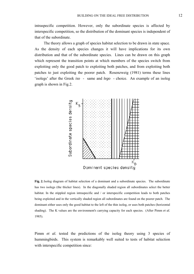intraspecific competition. However, only the subordinate species is affected by interspecific competition, so the distribution of the dominant species is independent of that of the subordinate.

 The theory allows a graph of species habitat selection to be drawn in state space. As the density of each species changes it will have implications for its own distribution and that of the subordinate species. Lines can be drawn on this graph which represent the transition points at which members of the species switch from exploiting only the good patch to exploiting both patches, and from exploiting both patches to just exploiting the poorer patch. Rosenzweig (1981) terms these lines 'isolegs' after the Greek *iso* - same and *lego* - choice. An example of an isoleg graph is shown in Fig.2.



**Fig. 2.** Isoleg diagram of habitat selection of a dominant and a subordinate species. The subordinate has two isolegs (the thicker lines). In the diagonally shaded region all subordinates select the better habitat. In the stippled region intraspecific and / or interspecific competition leads to both patches being exploited and in the vertically shaded region all subordinates are found on the poorer patch. The dominant either uses only the good habitat to the left of the thin isoleg, or uses both patches (horizontal shading). The K values are the environment's carrying capacity for each species. (After Pimm *et al.* 1985).

Pimm *et al.* tested the predictions of the isoleg theory using 3 species of hummingbirds. This system is remarkably well suited to tests of habitat selection with interspecific competition since: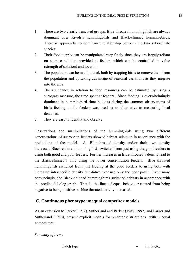- 1. There are two clearly truncated groups, Blue-throated hummingbirds are always dominant over Rivoli's hummingbirds and Black-chinned hummingbirds. There is apparently no dominance relationship between the two subordinate species.
- 2. Their food supply can be manipulated very finely since they are largely reliant on sucrose solution provided at feeders which can be controlled in value (strength of solution) and location.
- 3. The population can be manipulated, both by trapping birds to remove them from the population and by taking advantage of seasonal variations as they migrate into the area.
- 4. The abundance in relation to food resources can be estimated by using a surrogate measure, the time spent at feeders. Since feeding is overwhelmingly dominant in hummingbird time budgets during the summer observations of birds feeding at the feeders was used as an alternative to measuring local densities.
- 5. They are easy to identify and observe.

Observations and manipulations of the hummingbirds using two different concentrations of sucrose in feeders showed habitat selection in accordance with the predictions of the model. As Blue-throated density and/or their own density increased, Black-chinned hummingbirds switched from just using the good feeders to using both good and poor feeders. Further increases in Blue-throated's density lead to the Black-chinned's only using the lower concentration feeders. Blue throated hummingbirds switched from just feeding at the good feeders to using both with increased intraspecific density but didn't ever use only the poor patch. Even more convincingly, the Black-chinned hummingbirds switched habitats in accordance with the predicted isoleg graph. That is, the lines of equal behaviour rotated from being negative to being positive as blue throated activity increased.

## **C. Continuous phenotype unequal competitor models**

As an extension to Parker (1972), Sutherland and Parker (1985, 1992) and Parker and Sutherland (1986), present explicit models for predator distributions with unequal competitors:

*Summary of terms*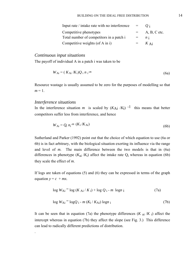| Input rate / intake rate with no interference | $=$     | $U$ i              |
|-----------------------------------------------|---------|--------------------|
| Competitive phenotypes                        |         | $A, B, C$ etc.     |
| Total number of competitors in a patch i      |         | $n_{\rm i}$        |
| Competitive weights (of A in i)               | $=$ $-$ | $K$ A <sub>i</sub> |

#### *Continuous input situations*

The payoff of individual A in a patch i was taken to be

$$
W_{\text{Ai}} = (K_{\text{Ai}} / K_{\text{i}}) Q_{\text{i}} n_{\text{i}} \cdot m \tag{6a}
$$

Resource wastage is usually assumed to be zero for the purposes of modelling so that  $m = 1$ .

#### *Interference situations*

.

In the interference situation *m* is scaled by  $(K_{\text{Ai}} / K_i)^{-1}$  this means that better competitors suffer less from interference, and hence

$$
W_{\rm Ai} = Q_{\rm i} n_{\rm i}^{-m} \left( K_{\rm i} / K_{\rm Ai} \right) \tag{6b}
$$

Sutherland and Parker (1992) point out that the choice of which equation to use (6a or 6b) is in fact arbitrary, with the biological situation exerting its influence via the range and level of *m*. The main difference between the two models is that in (6a) differences in phenotype  $(K_{ai}/K_i)$  affect the intake rate  $Q_i$  whereas in equation (6b) they scale the effect of *m*.

If logs are taken of equations (5) and (6) they can be expressed in terms of the graph equation  $y = c + mx$ .

$$
\log W_{\rm Ai} = \log (K_{\rm Ai} / K_{\rm i}) + \log Q_{\rm i} - m \log n_{\rm i}
$$
 (7a)

$$
\log W_{\text{Ai}} = \log Q_i - m (K_i / K_{\text{Ai}}) \log n_i \tag{7b}
$$

It can be seen that in equation (7a) the phenotype differences  $(K_{\text{ai}}/K_i)$  affect the intercept whereas in equation (7b) they affect the slope (see Fig. 3.) This difference can lead to radically different predictions of distribution.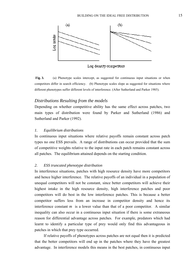

Log density competitors

Fig. 3. (a) Phenotype scales intercept, as suggested for continuous input situations or when competitors differ in search efficiency. (b) Phenotype scales slope as suggested for situations where different phenotypes suffer different levels of interference. (After Sutherland and Parker 1985).

#### *Distributions Resulting from the models*

Depending on whether competitive ability has the same effect across patches, two main types of distribution were found by Parker and Sutherland (1986) and Sutherland and Parker (1992).

#### *1. Equilibrium distributions*

In continuous input situations where relative payoffs remain constant across patch types no one ESS prevails. A range of distributions can occur provided that the sum of competitive weights relative to the input rate in each patch remains constant across all patches. The equilibrium attained depends on the starting condition.

#### *2. ESS truncated phenotype distribution*

In interference situations, patches with high resource density have more competitors and hence higher interference. The relative payoffs of an individual in a population of unequal competitors will not be constant, since better competitors will achieve their highest intake in the high resource density, high interference patches and poor competitors will do best in the low interference patches. This is because a better competitor suffers less from an increase in competitor density and hence its interference constant  $m$  is a lower value than that of a poor competitor. A similar inequality can also occur in a continuous input situation if there is some extraneous reason for differential advantage across patches. For example, predators which had learnt to identify a particular type of prey would only find this advantageous in patches in which that prey type occurred.

 If relative payoffs of phenotypes across patches are not equal then it is predicted that the better competitors will end up in the patches where they have the greatest advantage. In interference models this means in the best patches, in continuous input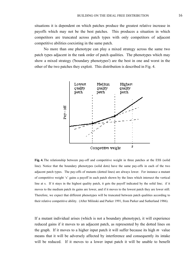situations it is dependent on which patches produce the greatest relative increase in payoffs which may not be the best patches. This produces a situation in which competitors are truncated across patch types with only competitors of adjacent competitive abilities coexisting in the same patch.

 No more than one phenotype can play a mixed strategy across the same two patch types adjacent in the rank order of patch qualities. The phenotypes which may show a mixed strategy ('boundary phenotypes') are the best in one and worst in the other of the two patches they exploit. This distribution is described in Fig. 4.



**Fig. 4.** The relationship between pay-off and competitive weight in three patches at the ESS (solid line). Notice that the boundary phenotypes (solid dots) have the same pay-offs in each of the two adjacent patch types. The pay-offs of mutants (dotted lines) are always lower. For instance a mutant of competitive weight 's' gains a payoff in each patch shown by the lines which intersect the vertical line at s. If it stays in the highest quality patch, it gets the payoff indicated by the solid line; if it moves to the medium patch its gains are lower, and if it moves to the lowest patch they are lower still. Therefore, we expect that different phenotypes will be truncated between patch qualities according to their relative competitive ability. (After Milinski and Parker 1991, from Parker and Sutherland 1986).

If a mutant individual arises (which is not a boundary phenotype), it will experience reduced gains if it moves to an adjacent patch, as represented by the dotted lines on the graph. If it moves to a higher input patch it will suffer because its high *m* value means that it will be adversely affected by interference and consequently its intake will be reduced. If it moves to a lower input patch it will be unable to benefit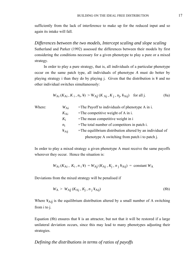sufficiently from the lack of interference to make up for the reduced input and so again its intake will fall.

*Differences between the two models, Intercept scaling and slope scaling*  Sutherland and Parker (1992) assessed the differences between their models by first considering the conditions necessary for a given phenotype to play a pure or a mixed strategy.

 In order to play a pure strategy, that is, all individuals of a particular phenotype occur on the same patch type, all individuals of phenotype *A* must do better by playing strategy i than they do by playing j. Given that the distribution is  $\frac{1}{2}$  and no other individual switches simultaneously:

$$
W_{Ai}(K_{Ai}, K_i, n_i, \Psi) > W_{Aj}(K_{Aj}, K_j, n_j, \Psi_{Aij})
$$
 for all j. (8a)

Where:  $W_{\text{Ai}} = \text{The Pavorf}$  to individuals of phenotype A in i.

| $K_{\rm Ai}$   | =The competitive weight of A in i.                           |  |
|----------------|--------------------------------------------------------------|--|
| $K_i$          | $=$ The mean competitive weight in i                         |  |
| $n_i$          | $=$ The total number of competitors in patch i.              |  |
| $\ddagger$ Aij | $=$ The equilibrium distribution altered by an individual of |  |
|                | phenotype A switching from patch i to patch j.               |  |

In order to play a mixed strategy a given phenotype A must receive the same payoffs wherever they occur. Hence the situation is:

$$
W_{\text{Ai}}\left(K_{\text{Ai}}, K_{\text{i}}, n_{\text{i}}\right) = W_{\text{Aj}}\left(K_{\text{Aj}}, K_{\text{j}}, n_{\text{j}}\right) = \text{constant } W_{\text{A}}
$$

Deviations from the mixed strategy will be penalised if

$$
W_A > W_{\text{Aj}}(K_{\text{Aj}}, K_j, n_j \Psi_{\text{Aij}}) \tag{8b}
$$

Where  $\frac{4}{11}$  is the equilibrium distribution altered by a small number of A switching from i to j.

Equation (8b) ensures that  $\frac{1}{2}$  is an attractor, but not that it will be restored if a large unilateral deviation occurs, since this may lead to many phenotypes adjusting their strategies.

#### *Defining the distributions in terms of ratios of payoffs*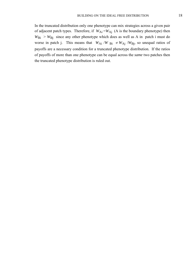In the truncated distribution only one phenotype can mix strategies across a given pair of adjacent patch types. Therefore, if  $W_{Ai} = W_{Ai}$  (A is the boundary phenotype) then  $W_{\text{Bi}} > W_{\text{Bj}}$  since any other phenotype which does as well as A in patch i must do worse in patch j. This means that  $W_{Ai} / W_{Bi} \neq W_{Aj} / W_{Bj}$ , so unequal ratios of payoffs are a necessary condition for a truncated phenotype distribution. If the ratios of payoffs of more than one phenotype can be equal across the *same* two patches then the truncated phenotype distribution is ruled out.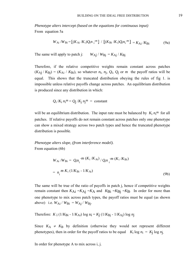*Phenotype alters intercept (based on the equations for continuous input)*  From equation 5a

$$
W_{\text{Ai}} / W_{\text{Bi}} = \left[ (K_{\text{Ai}} / K_{\text{i}}) Q_{\text{i}} n_{\text{i}}^{-m} \right] / \left[ (K_{\text{Bi}} / K_{\text{i}}) Q_{\text{i}} n_{\text{i}}^{-m} \right] = K_{\text{Ai}} / K_{\text{Bi}} \tag{9a}
$$

The same will apply to patch j:  $W_{\text{Ai}} / W_{\text{Bi}} = K_{\text{Ai}} / K_{\text{Bi}}$ 

Therefore, if the relative competitive weights remain constant across patches  $(K_{\text{Ai}} / K_{\text{Bi}}) = (K_{\text{Ai}} / K_{\text{Bi}})$ , so whatever  $n_i$ ,  $n_j$ ,  $Q_i$ ,  $Q_j$  or  $m$  the payoff ratios will be equal. This shows that the truncated distribution obeying the rules of fig 1. is impossible unless relative payoffs change across patches. An equilibrium distribution is produced since any distribution in which:

$$
Q_i/K_i n_i^m = Q_j/K_j n_j^m = \text{constant}
$$

will be an equilibrium distribution. The input rate must be balanced by  $K_i n_i^m$  for all patches. If relative payoffs do not remain constant across patches only one phenotype can show a mixed strategy across two patch types and hence the truncated phenotype distribution is possible.

*Phenotype alters slope, (from interference model).*  From equation (6b)

$$
W_{Ai} / W_{Bi} = Q_{i} n_{i}^{-m (K_{i} / K_{Ai})} / Q_{i} n_{i}^{-m (K_{i} / K_{Bi})}
$$
  
=  $n_{i}^{m K_{i} (1 / K_{Bi} - 1 / K_{Ai})}$  (9b)

The same will be true of the ratio of payoffs in patch j, hence if competitive weights remain constant then  $K_{\text{Ai}} = K_{\text{Ai}} = K_{\text{A}}$  and  $K_{\text{Bi}} = K_{\text{Bi}} = K_{\text{B}}$ . In order for more than one phenotype to mix across patch types, the payoff ratios must be equal (as shown above) i.e.  $W_{\text{Ai}} / W_{\text{Bi}} = W_{\text{Ai}} / W_{\text{Bi}}$ .

Therefore: *K* i ( $1/K_{\text{Bi}} - 1/K_{\text{Ai}}$ ) log n<sub>i</sub> = *K*<sub>j</sub> ( $1/K_{\text{Bj}} - 1/K_{\text{Aj}}$ ) log *n*<sub>j</sub>

Since  $K_A \neq K_B$  by definition (otherwise they would not represent different phenotypes), then in order for the payoff ratios to be equal  $K_i \log n_i = K_j \log n_i$ .

In order for phenotype A to mix across i, j.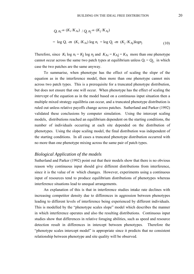$$
Q_{i} n_{i}^{-m} (K_{i}/K_{Ai}) / Q_{j} n_{j}^{-m} (K_{j}/K_{Aj})
$$
  
= log  $Q_{i}$  -m  $(K_{i}/K_{Ai})$  log  $n_{i}$  = log  $Q_{j}$  -m  $(K_{j}/K_{Aj})$  log $n_{j}$  (10)

Therefore, since  $K_i \log n_i = K_j \log n_j$  and  $K_{Ai} = K_{Ai} = K_A$  more than one phenotype cannot occur across the same two patch types at equilibrium unless  $Q_i = Q_i$ , in which case the two patches are the same anyway.

 To summarise, when phenotype has the effect of scaling the *slope* of the equation as in the interference model, then more than one phenotype cannot mix across two patch types. This is a prerequisite for a truncated phenotype distribution, but does not ensure that one will occur. When phenotype has the effect of scaling the *intercept* of the equation as in the model based on a continuous input situation then a multiple mixed strategy equilibria can occur, and a truncated phenotype distribution is ruled out unless relative payoffs change across patches. Sutherland and Parker (1992) validated these conclusions by computer simulation. Using the intercept scaling models, distributions reached an equilibrium dependent on the starting conditions, the number of individuals occurring at each site depended on the distribution of phenotypes. Using the slope scaling model, the final distribution was independent of the starting conditions. In all cases a truncated phenotype distribution occurred with no more than one phenotype mixing across the same pair of patch types.

#### *Biological Application of the models*

Sutherland and Parker (1992) point out that their models show that there is no obvious reason why continuous input should give different distributions from interference, since it is the value of *m* which changes. However, experiments using a continuous input of resources tend to produce equilibrium distributions of phenotypes whereas interference situations lead to unequal arrangements.

 An explanation of this is that in interference studies intake rate declines with increasing competitor density due to differences in aggression between phenotypes leading to different levels of interference being experienced by different individuals. This is modelled by the "phenotype scales slope" model which describes the manner in which interference operates and also the resulting distributions. Continuous input studies show that differences in relative foraging abilities, such as speed and resource detection result in differences in intercept between phenotypes. Therefore the "phenotype scales intercept model" is appropriate since it predicts that no consistent relationship between phenotype and site quality will be observed.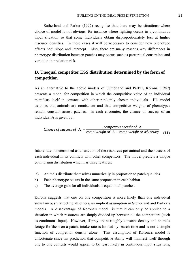Sutherland and Parker (1992) recognise that there may be situations where choice of model is not obvious, for instance where fighting occurs in a continuous input situation so that some individuals obtain disproportionately less at higher resource densities. In these cases it will be necessary to consider how phenotype affects both slope and intercept. Also, there are many reasons why differences in phenotype distribution between patches may occur, such as perceptual constraints and variation in predation risk.

# **D. Unequal competitor ESS distribution determined by the form of competition**

As an alternative to the above models of Sutherland and Parker, Korona (1989) presents a model for competition in which the competitive value of an individual manifests itself in contacts with other randomly chosen individuals. His model assumes that animals are omniscient and that competitive weights of phenotypes remain constant across patches. In each encounter, the chance of success of an individual A is given by:

Change of success of A = 
$$
\frac{competitive weight of A}{comp weight of A + comp weight of a(11)}
$$

Intake rate is determined as a function of the resources per animal and the success of each individual in its conflicts with other competitors. The model predicts a unique equilibrium distribution which has three features:

- a) Animals distribute themselves numerically in proportion to patch qualities.
- b) Each phenotype occurs in the same proportion in each habitat.
- c) The average gain for all individuals is equal in all patches.

Korona suggests that one on one competition is more likely than one individual simultaneously affecting all others, an implicit assumption in Sutherland and Parker's models. A disadvantage of Korona's model is that it can only be applied to a situation in which resources are simply divided up between all the competitors (such as continuous input). However, if prey are at roughly constant density and animals forage for them on a patch, intake rate is limited by search time and is not a simple function of competitor density alone. This assumption of Korona's model is unfortunate since his prediction that competitive ability will manifest itself through one to one contests would appear to be least likely in continuous input situations,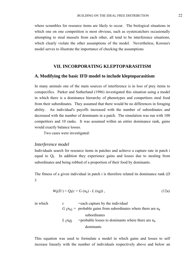where scrambles for resource items are likely to occur. The biological situations in which one on one competition is most obvious, such as oystercatchers occasionally attempting to steal mussels from each other, all tend to be interference situations, which clearly violate the other assumptions of the model. Nevertheless, Korona's model serves to illustrate the importance of checking the assumptions

#### **VII. INCORPORATING KLEPTOPARASITISM**

#### **A. Modifying the basic IFD model to include kleptoparasitism**

In many animals one of the main sources of interference is in loss of prey items to conspecifics. Parker and Sutherland (1986) investigated this situation using a model in which there is a dominance hierarchy of phenotypes and competitors steal food from their subordinates. They assumed that there would be no differences in foraging ability. An individual's payoffs increased with the number of subordinates and decreased with the number of dominants in a patch. The simulation was run with 100 competitors and 10 ranks. It was assumed within an entire dominance rank, gains would exactly balance losses.

Two cases were investigated:

#### *Interference model*

Individuals search for resource items in patches and achieve a capture rate in patch i equal to *Q*i. In addition they experience gains and losses due to stealing from subordinates and being robbed of a proportion of their food by dominants.

The fitness of a given individual in patch i is therefore related its dominance rank (*D*  ):

$$
W_{1}(D) = Q_{1}(c + G (n_{S}) - L (n_{d})),
$$
\n(12a)

in which  $c =$  each capture by the individual  $G(n<sub>S</sub>)$  = probable gains from subordinates where there are n<sub>S</sub> subordinates  $L$  ( $n<sub>d</sub>$ ) = probable losses to dominants where there are  $n<sub>S</sub>$ dominants

This equation was used to formulate a model in which gains and losses to self increase linearly with the number of individuals respectively above and below an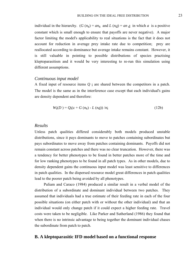individual in the hierarchy. (*G* ( $n_S$ ) =  $an_S$  and *L* ( $n_d$ ) =  $an_d$  in which *a* is a positive constant which is small enough to ensure that payoffs are never negative). A major factor limiting the model's applicability to real situations is the fact that it does not account for reduction in average prey intake rate due to competition; prey are reallocated according to dominance but average intake remains constant. However, it is still valuable in pointing to possible distributions of species practising kleptoparasitism and it would be very interesting to re-run this simulation using different assumptions.

#### *Continuous input model*

A fixed input of resource items *Q* i are shared between the competitors in a patch. The model is the same as in the interference case except that each individual's gains are density dependent and therefore:

$$
W_{\mathbf{I}}(D) = Q_{\mathbf{I}}(c + G(n_{\mathbf{S}}) - L(n_{\mathbf{d}})) / n_{\mathbf{I}}
$$
 (12b)

#### *Results*

Unless patch qualities differed considerably both models produced unstable distributions, since it pays dominants to move to patches containing subordinates but pays subordinates to move away from patches containing dominants. Payoffs did not remain constant across patches and there was no clear truncation. However, there was a tendency for better phenotypes to be found in better patches more of the time and for low ranking phenotypes to be found in all patch types. As in other models, due to density dependent gains the continuous input model was least sensitive to differences in patch qualities. In the dispersed resource model great differences in patch qualities lead to the poorer patch being avoided by all phenotypes.

 Puliam and Caraco (1984) produced a similar result in a verbal model of the distribution of a subordinate and dominant individual between two patches. They assumed that individuals had a true estimate of their feeding rate in each of the four possible situations (on either patch with or without the other individual) and that an individual would only change patch if it could expect a higher feeding rate. Travel costs were taken to be negligible. Like Parker and Sutherland (1986) they found that when there is no intrinsic advantage to being together the dominant individual chases the subordinate from patch to patch.

#### **B. A kleptoparasitic IFD model based on a functional response**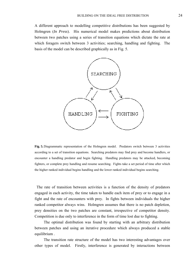A different approach to modelling competitive distributions has been suggested by Holmgren (*In Press*). His numerical model makes predictions about distribution between two patches using a series of transition equations which dictate the rate at which foragers switch between 3 activities; searching, handling and fighting. The basis of the model can be described graphically as in Fig. 5.



**Fig. 5.** Diagrammatic representation of the Holmgren model. Predators switch between 3 activities according to a set of transition equations. Searching predators may find prey and become handlers, or encounter a handling predator and begin fighting. Handling predators may be attacked, becoming fighters, or complete prey handling and resume searching. Fights take a set period of time after which the higher ranked individual begins handling and the lower ranked individual begins searching.

 The rate of transition between activities is a function of the density of predators engaged in each activity, the time taken to handle each item of prey or to engage in a fight and the rate of encounters with prey. In fights between individuals the higher ranked competitor always wins. Holmgren assumes that there is no patch depletion, prey densities on the two patches are constant, irrespective of competitor density. Competition is due only to interference in the form of time lost due to fighting.

 The optimal distribution was found by starting with an arbitrary distribution between patches and using an iterative procedure which always produced a stable equilibrium .

 The transition rate structure of the model has two interesting advantages over other types of model. Firstly, interference is generated by interactions between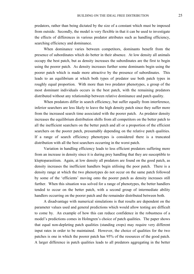predators, rather than being dictated by the size of a constant which must be imposed from outside. Secondly, the model is very flexible in that it can be used to investigate the effects of differences in various predator attributes such as handling efficiency, searching efficiency and dominance.

 When dominance varies between competitors, dominants benefit from the presence of subordinates which do better in their absence. At low density all animals occupy the best patch, but as density increases the subordinates are the first to begin using the poorer patch. As density increases further some dominants begin using the poorer patch which is made more attractive by the presence of subordinates. This leads to an equilibrium at which both types of predator use both patch types in roughly equal proportion. With more than two predator phenotypes, a group of the most dominant individuals occurs in the best patch, with the remaining predators distributed without any relationship between relative dominance and patch quality.

When predators differ in search efficiency, but suffer equally from interference, inferior searchers are less likely to leave the high density patch since they suffer more from the increased search time associated with the poorer patch. As predator density increases the equilibrium distribution shifts from all competitors on the better patch to all the inefficient searchers on the better patch and all or a proportion of the efficient searchers on the poorer patch, presumably depending on the relative patch qualities. If a range of search efficiency phenotypes is considered there is a truncated distribution with all the best searchers occurring in the worst patch.

 Variation in handling efficiency leads to less efficient predators suffering more from an increase in density since it is during prey handling that they are susceptible to kleptoparasitism. Again, at low density all predators are found on the good patch, as density increases the inefficient handlers begin utilising the poor patch. There is a density range at which the two phenotypes do not occur on the same patch followed by some of the 'efficients' moving onto the poorer patch as density increases still further. When this situation was solved for a range of phenotypes, the better handlers tended to occur on the better patch, with a second group of intermediate ability handlers occurring on the poorer patch and the remainder distributed between both.

 A disadvantage with numerical simulations is that results are dependent on the parameter values used and general predictions which would allow testing are difficult to come by. An example of how this can reduce confidence in the robustness of a model's predictions comes in Holmgren's choice of patch qualities. The paper shows that equal non-depleting patch qualities (standing crops) may require very different input rates in order to be maintained. However, the choice of qualities for the two patches is one in which the poorer patch has 95% of the resources of the good patch. A larger difference in patch qualities leads to all predators aggregating in the better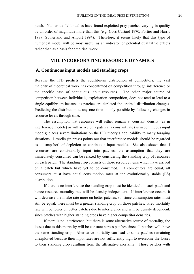patch. Numerous field studies have found exploited prey patches varying in quality by an order of magnitude more than this (e.g. Goss-Custard 1970, Fortier and Harris 1989, Sutherland and Allport 1994). Therefore, it seems likely that this type of numerical model will be most useful as an indicator of potential qualitative effects rather than as a basis for empirical work.

#### **VIII. INCORPORATING RESOURCE DYNAMICS**

#### **A. Continuous input models and standing crops**

Because the IFD predicts the equilibrium distribution of competitors, the vast majority of theoretical work has concentrated on competition through interference or the specific case of continuous input resources. The other major source of competition between individuals, exploitation competition, does not tend to lead to a single equilibrium because as patches are depleted the optimal distribution changes. Predicting the distribution at any one time is only possible by following changes in resource levels through time.

 The assumption that resources will either remain at constant density (as in interference models) or will arrive on a patch at a constant rate (as in continuous input models) places severe limitations on the IFD theory's applicability to many foraging situations. Lessells (in press) points out that interference models should be regarded as a 'snapshot' of depletion or continuous input models. She also shows that if resources are continuously input into patches, the assumption that they are immediately consumed can be relaxed by considering the standing crop of resources on each patch. The standing crop consists of those resource items which have arrived on a patch but which have yet to be consumed. If competitors are equal, all consumers must have equal consumption rates at the evolutionarily stable (ES) distribution.

 If there is no interference the standing crop must be identical on each patch and hence resource mortality rate will be density independent. If interference occurs, it will decrease the intake rate more on better patches, so, since consumption rates must still be equal, there must be a greater standing crop on those patches. Prey mortality rate will be lower on better patches due to interference and will be density dependent, since patches with higher standing crops have higher competitor densities.

 If there is no interference, but there is some alternative source of mortality, the losses due to this mortality will be constant across patches since all patches will have the same standing crop. Alternative mortality can lead to some patches remaining unexploited because their input rates are not sufficiently high to overcome the losses to their standing crop resulting from the alternative mortality. Those patches with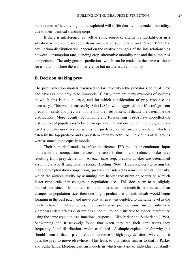intake rates sufficiently high to be exploited will suffer density independent mortality, due to their identical standing crops.

 If there is interference, as well as some source of alternative mortality, as in a situation where some resource items are wasted (Sutherland and Parker 1992) the equilibrium distribution will depend on the relative strengths of the interrelationships between consumption rate, standing crop, alternative mortality rate and the number of competitors. The only general predictions which can be made are the same as those for a situation where there is interference but no alternative mortality.

#### **B. Decision making prey**

The patch selection models discussed so far have taken the predator's point of view and have assumed prey to be immobile. Clearly there are many examples of systems in which this is not the case, and for which consideration of prey responses is necessary. This was discussed by Sih (1984) who suggested that if a refuge from predation exists and prey are mobile that their response will dictate the determine the distribution. More recently Schwinning and Rosenzweig (1990) have modelled the distribution of populations between an open habitat and one containing refuges. They used a predator-prey system with a top predator, an intermediate predator which is eaten by the top predator and a prey item eaten by both. All individuals of all groups were assumed to be equally mobile.

 Their numerical model is unlike interference IFD models or continuous input models in that competition between predators is due only to reduced intake rates resulting from prey depletion. At each time step, predator intakes are determined assuming a type II functional response (Holling 1966). However, despite basing the model on exploitation competition, prey are considered to remain at constant density, which the authors justify by assuming that habitat redistribution occurs on a much faster time scale than changes in population size. This does seem to be slightly inconsistent, since if habitat redistribution does occur on a much faster time scale than changes in population size, then one might predict that all individuals would begin foraging in the best patch and move only when it was depleted to the same level as the patch below. Nevertheless, the results may provide some insight into how kleptoparasitism affects distributions since it may be justifiable to model interference using the same equation as a functional response. Like Parker and Sutherland (1986), Schwinning and Rosenzweig found that when they ran their simulations they frequently found distributions which oscillated. A simple explanation for why this should occur is that it pays predators to move to high prey densities, whereupon it pays the prey to move elsewhere. This leads to a situation similar to that in Parker and Sutherland's kleptoparasitism models in which one type of individual constantly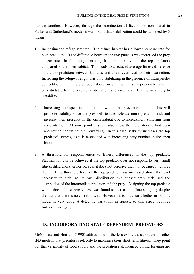pursues another. However, through the introduction of factors not considered in Parker and Sutherland's model it was found that stabilization could be achieved by 3 means:

- 1. Increasing the refuge strength. The refuge habitat has a lower capture rate for both predators. If the difference between the two patches was increased the prey concentrated in the refuge, making it more attractive to the top predators compared to the open habitat. This leads to a reduced average fitness difference of the top predators between habitats, and could even lead to their extinction. Increasing the refuge strength was only stabilizing in the presence of intraspecific competition within the prey population, since without this the prey distribution is only dictated by the predator distribution, and vice versa, leading inevitably to instability.
- 2. Increasing intraspecific competition within the prey population. This will promote stability since the prey will tend to tolerate more predation risk and increase their presence in the open habitat due to increasingly suffering from concentration. At some point this will also allow their predators to find open and refuge habitat equally rewarding. In this case, stability increases the top predator's fitness, as it is associated with increasing prey number in the open habitat.
- 3. A threshold for responsiveness to fitness differences in the top predator. Stabilization can be achieved if the top predator does not respond to very small fitness differences, either because it does not perceive them, or because it ignores them. If the threshold level of the top predator was increased above the level necessary to stabilize its own distribution this subsequently stabilised the distribution of the intermediate predator and the prey. Assigning the top predator with a threshold responsiveness was found to increase its fitness slightly despite the fact that there is no cost to travel. However, it is not clear whether or not this model is very good at detecting variations in fitness, so this aspect requires further investigation.

#### **IX. INCORPORATING STATE DEPENDENT PREDATORS**

McNamara and Houston (1990) address one of the less explicit assumptions of other IFD models; that predators seek only to maximise their short-term fitness. They point out that variability of food supply and the predation risk incurred during foraging are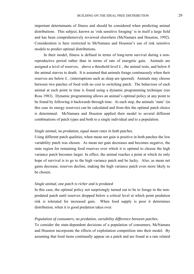important determinants of fitness and should be considered when predicting animal distributions. This subject, known as 'risk sensitive foraging' is in itself a large field and has been comprehensively reviewed elsewhere (McNamara and Houston, 1992). Consideration is here restricted to McNamara and Houston's use of risk sensitive models to predict optimal distributions.

 In their model, fitness is defined in terms of long-term survival during a nonreproductive period rather than in terms of rate of energetic gain. Animals are assigned a level of reserves, above a threshold level *L* , the animal rests, and below 0 the animal starves to death. It is assumed that animals forage continuously when their reserves are below *L* , (interruptions such as sleep are ignored). Animals may choose between two patches of food with no cost to switching patch. The behaviour of each animal at each point in time is found using a dynamic programming technique (see Ross 1983). Dynamic programming allows an animal's optimal policy at any point to be found by following it backwards through time. At each step, the animals 'state' (in this case its energy reserves) can be calculated and from this the optimal patch choice is determined. McNamara and Houston applied their model to several different combinations of patch types and both to a single individual and to a population.

#### *Single animal, no predation, equal mean rates in both patches.*

Using different patch qualities, when mean net gain is positive in both patches the low variability patch was chosen. As mean net gain decreases and becomes negative, the state region for remaining food reserves over which it is optimal to choose the high variance patch becomes larger. In effect, the animal reaches a point at which its only hope of survival is to go to the high variance patch and be lucky. Also, as mean net gains decrease, reserves decline, making the high variance patch even more likely to be chosen.

#### *Single animal, one patch is richer and is predated*

In this case, the optimal policy not surprisingly turned out to be to forage in the nonpredated patch until reserves dropped below a critical level at which point predation risk is tolerated for increased gain. When food supply is poor it determines distribution, when it is good predation takes over.

#### *Population of consumers, no predation, variability difference between patches.*

To consider the state-dependent decisions of a population of consumers, McNamara and Houston incorporate the effects of exploitation competition into their model. By assuming that food items continually appear on a patch and are found at a rate related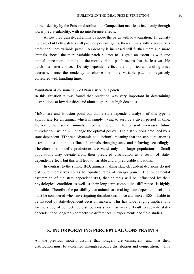to their density by the Poisson distribution. Competition manifests itself only through lower prey availability, with no interference effects.

 At low prey density, all animals choose the patch with low variation. If density increases but both patches still provide positive gains, then animals with low reserves prefer the more variable patch. As density is increased still further more and more animals choose the more variable patch but not to as great an extent as with one animal since more animals on the more variable patch means that the less variable patch is a better choice. Density dependent effects are amplified as handling times decrease, hence the tendency to choose the more variable patch is negatively correlated with handling time.

#### *Population of consumers, predation risk on one patch.*

In this situation it was found that predation was very important in determining distributions at low densities and almost ignored at high densities.

McNamara and Houston point out that a state-dependent analysis of this type is appropriate for an animal which is simply trying to survive a given period of time. However, for some animals, feeding more in the present increases future reproduction, which will change the optimal policy. The distributions produced by a state-dependent IFD are a 'dynamic equilibrium', meaning that the stable situation is a result of a continuous flux of animals changing state and behaving accordingly. Therefore the model's predictions are valid only for large populations. Small populations may deviate from their predicted distribution as a result of statedependent effects but this will lead to variable and unpredictable situations.

 In contrast to the simple IFD, animals making state-dependent decisions do not distribute themselves so as to equalise rates of energy gain. The fundamental assumption of the state dependent IFD, that animals will be influenced by their physiological condition as well as their long-term competitive differences is highly plausible. Therefore the possibility that animals are making state-dependent decisions must be considered when investigating distributions, since any mixed ESS is liable to be invaded by state-dependent decision makers. This has wide ranging implications for the study of competitive distributions since it is very difficult to separate statedependent and long-term competitive differences in experiments and field studies.

#### **X. INCORPORATING PERCEPTUAL CONSTRAINTS**

All the previous models assume that foragers are omniscient, and that their distribution must be explained through resource distribution and competition. This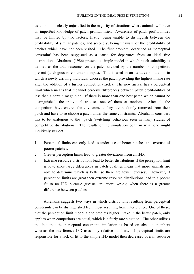assumption is clearly unjustified in the majority of situations where animals will have an imperfect knowledge of patch profitabilities. Awareness of patch profitabilities may be limited by two factors, firstly, being unable to distinguish between the profitability of similar patches, and secondly, being unaware of the profitability of patches which have not been visited. The first problem, described as 'perceptual constraint' has been suggested as a cause for departures from an ideal free distribution. Abrahams (1986) presents a simple model in which patch suitability is defined as the total resources on the patch divided by the number of competitors present (analogous to continuous input). This is used in an iterative simulation in which a newly arriving individual chooses the patch providing the highest intake rate after the addition of a further competitor (itself). The new arrival has a perceptual limit which means that it cannot perceive differences between patch profitabilities of less than a certain magnitude. If there is more than one best patch which cannot be distinguished, the individual chooses one of them at random. After all the competitors have entered the environment, they are randomly removed from their patch and have to re-choose a patch under the same constraints. Abrahams considers this to be analogous to the patch 'switching' behaviour seen in many studies of competitive distributions. The results of the simulation confirm what one might intuitively suspect:

- 1. Perceptual limits can only lead to under use of better patches and overuse of poorer patches.
- 2. Greater perception limits lead to greater deviations from an IFD.
- 3. Extreme resource distributions lead to better distributions if the perception limit is low, since large differences in patch qualities mean that more animals are able to determine which is better so there are fewer 'guesses'. However, if perception limits are great then extreme resource distributions lead to a poorer fit to an IFD because guesses are 'more wrong' when there is a greater difference between patches.

 Abrahams suggests two ways in which distributions resulting from perceptual constraints can be distinguished from those resulting from interference. One of these, that the perception limit model alone predicts higher intake in the better patch, only applies when competitors are equal, which is a fairly rare situation. The other utilises the fact that the perceptual constraint simulation is based on absolute numbers whereas the interference IFD uses only relative numbers. If perceptual limits are responsible for a lack of fit to the simple IFD model then decreased overall resource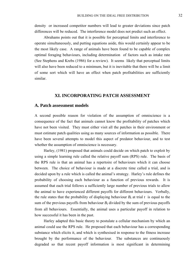density or increased competitor numbers will lead to greater deviations since patch differences will be reduced. The interference model does not predict such an effect.

 Abrahams points out that it is possible for perceptual limits and interference to operate simultaneously, and putting equations aside, this would certainly appear to be the most likely case. A range of animals have been found to be capable of complex optimal foraging behaviours, including determination of factors such as intake rate (See Stephens and Krebs (1986) for a review). It seems likely that perceptual limits will also have been reduced to a minimum, but it is inevitable that there will be a limit of some sort which will have an effect when patch profitabilities are sufficiently similar.

#### **XI. INCORPORATING PATCH ASSESSMENT**

#### **A. Patch assessment models**

A second possible reason for violation of the assumption of omniscience is a consequence of the fact that animals cannot know the profitability of patches which have not been visited. They must either visit all the patches in their environment or must estimate patch qualities using as many sources of information as possible. There have been several attempts to model this aspect of predator behaviour, and to test whether the assumption of omniscience is necessary.

 Harley, (1981) proposed that animals could decide on which patch to exploit by using a simple learning rule called the relative payoff sum (RPS) rule. The basis of the RPS rule is that an animal has a repertoire of behaviours which it can choose between. The choice of behaviour is made at a discrete time called a trial, and is decided upon by a rule which is called the animal's strategy. Harley's rule defines the probability of choosing each behaviour as a function of previous rewards. It is assumed that each trial follows a sufficiently large number of previous trials to allow the animal to have experienced different payoffs for different behaviours. Verbally, the rule states that the probability of displaying behaviour  $B_i$  at trial  $t$  is equal to the sum of the previous payoffs from behaviour  $B_i$  divided by the sum of previous payoffs from all behaviours. Essentially, the animal uses a particular payoff in relation to how successful it has been in the past.

 Harley adapted this basic theory to postulate a cellular mechanism by which an animal could use the RPS rule. He proposed that each behaviour has a corresponding substance which elicits it, and which is synthesised in response to the fitness increase brought by the performance of the behaviour. The substances are continuously degraded so that recent payoff information is most significant in determining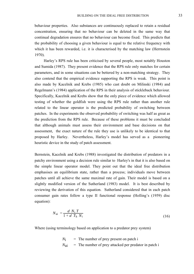behaviour properties. Also substances are continuously replaced to retain a residual concentration, ensuring that no behaviour can be deleted in the same way that continual degradation ensures that no behaviour can become fixed. This predicts that the probability of choosing a given behaviour is equal to the relative frequency with which it has been rewarded, i.e. it is characterised by the matching law (Herrnstein 1970).

 Harley's RPS rule has been criticised by several people, most notably Houston and Sumida (1987). They present evidence that the RPS rule only matches for certain parameters, and in some situations can be bettered by a non-matching strategy. They also contend that the empirical evidence supporting the RPS is weak. This point is also made by Kacelnik and Krebs (1985) who cast doubt on Milinski (1984) and Regelmann's (1984) application of the RPS in their analysis of stickleback behaviour. Specifically, Kacelnik and Krebs show that the only piece of evidence which allowed testing of whether the goldfish were using the RPS rule rather than another rule related to the linear operator is the predicted probability of switching between patches. In the experiments the observed probability of switching was half as great as the prediction from the RPS rule. Because of these problems it must be concluded that although animals must assess their environment and base decisions on that assessment, the exact nature of the rule they use is unlikely to be identical to that proposed by Harley. Nevertheless, Harley's model has served as a pioneering heuristic device in the study of patch assessment.

Bernstein, Kacelnik and Krebs (1988) investigated the distribution of predators in a patchy environment using a decision rule similar to Harley's in that it is also based on the simple linear operator model. They point out that the ideal free distribution emphasises an equilibrium state, rather than a process; individuals move between patches until all achieve the same maximal rate of gain. Their model is based on a slightly modified version of the Sutherland (1983) model. It is best described by reviewing the derivation of this equation. Sutherland considered that in each patch consumer gain rates follow a type II functional response (Holling's (1959) disc equation):

$$
N_{\rm ai} = \frac{d \ N_{\rm i} \ T}{1 + d \ T_{\rm h} \ N_{\rm i}} \tag{16}
$$

Where (using terminology based on application to a predator prey system)

 $N_i$  = The number of prey present on patch i  $N_{\text{ai}}$  = The number of prey attacked per predator in patch i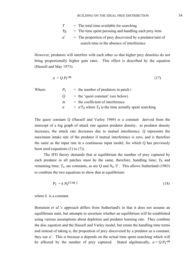- $T =$  The total time available for searching
- $T<sub>h</sub>$  = The time spent pursuing and handling each prey item
- *a'* = The proportion of prey discovered by a predator/unit of search time in the absence of interference

However, predators will interfere with each other so that higher prey densities do not bring proportionally higher gain rates. This effect is described by the equation (Hassell and May 1973):

$$
a = Q P_1^{-m} \tag{17}
$$

| Where: | $P_i$            | $=$ the number of predators in patch i                    |
|--------|------------------|-----------------------------------------------------------|
|        | $\boldsymbol{U}$ | $=$ the 'quest constant' (see below)                      |
|        | m                | $=$ the coefficient of interference                       |
|        | $\mathfrak{a}$   | $= aT_s$ where $T_s$ is the time actually spent searching |

The quest constant *Q* (Hassell and Varley 1969) is a constant derived from the intercept of a log graph of attack rate against predator density; as predator density increases, the attack rate decreases due to mutual interference. *Q* represents the maximum intake rate of the predator if mutual interference is zero, and is therefore the same as the input rate in a continuous input model, for which *Q* has previously been used (equations (1) to (7)).

 The IFD theory demands that at equilibrium the number of prey captured by each predator in all patches must be the same, therefore, handling time; *T*h and remaining time;  $T_s$ , are constants, as are Q and  $N_a/T$ . This allows Sutherland (1983) to combine the two equations to show that at equilibrium:

$$
P_1 = k N_1(1/m) \tag{18}
$$

where *k* is a constant.

Bernstein *et al.*'s approach differs from Sutherland's in that it does not assume an equilibrium state, but attempts to ascertain whether an equilibrium will be established using various assumptions about depletion and predator learning rate. They combine the disc equation and the Hassell and Varley model, but retain the handling time terms and instead of taking *a*, the proportion of prey discovered by a predator as a constant, they use *a'.* This is because *a* depends on the actual time spent searching which will be affected by the number of prey captured. Stated algebraically,  $a = Q P_1^{-m}$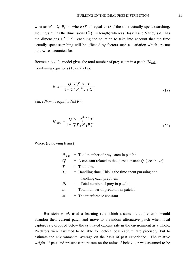whereas  $a' = Q' P_1$ <sup>-*m*</sup> where Q' is equal to Q / the time actually spent searching. Holling's *a*. has the dimensions  $L^2$  (L = length) whereas Hassell and Varley's *a*' has the dimensions  $L^2$  T  $^{-1}$  enabling the equation to take into account that the time actually spent searching will be affected by factors such as satiation which are not otherwise accounted for.

Bernstein *et al's* model gives the total number of prey eaten in a patch (*N*eat). Combining equations (16) and (17):

$$
N_{\text{ai}} = \frac{Q' P_i^{-m} N_i T}{1 + Q' P_i^{-m} T_{\text{h}} N_i}
$$
\n(19)

Since *N*eat is equal to *N*ai *P* i :

$$
N_{\text{eat}_{i}} = \frac{Q' N_{i} P_{i}^{(1-m)} T}{1 + Q' T_{h} N_{i} P_{i}^{-m}}
$$
\n(20)

Where (reviewing terms)

| $N_{\text{eat}_i}$ | $=$ Total number of prey eaten in patch i                  |
|--------------------|------------------------------------------------------------|
| $Q^{\prime}$       | $=$ A constant related to the quest constant Q (see above) |
| T                  | $=$ Total time                                             |
| T <sub>h</sub>     | $=$ Handling time. This is the time spent pursuing and     |
|                    | handling each prey item                                    |
| $N_i$              | $=$ Total number of prey in patch i                        |
| n <sub>1</sub>     | $=$ Total number of predators in patch i                   |
| $\boldsymbol{m}$   | $=$ The interference constant                              |
|                    |                                                            |

 Bernstein *et al*. used a learning rule which assumed that predators would abandon their current patch and move to a random alternative patch when local capture rate dropped below the estimated capture rate in the environment as a whole. Predators were assumed to be able to detect local capture rate precisely, but to estimate the environmental average on the basis of past experience. The relative weight of past and present capture rate on the animals' behaviour was assumed to be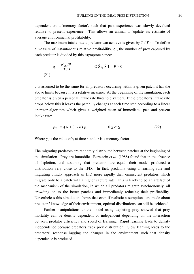dependent on a 'memory factor', such that past experience was slowly devalued relative to present experience. This allows an animal to 'update' its estimate of average environmental profitability.

The maximum intake rate a predator can achieve is given by  $T/T$  h. To define a measure of instantaneous relative profitability, *q* , the number of prey captured by each predator is divided by this asymptote hence:

$$
q = \frac{N_{\text{eat}}/P}{T/T_{\text{h}}} \qquad \qquad \text{O} \check{\text{S}} \; q \check{\text{S}} \; 1, \quad P > 0
$$
\n
$$
\text{(21)}
$$

*q* is assumed to be the same for all predators occurring within a given patch it has the above limits because it is a relative measure. At the beginning of the simulation, each predator is given a personal intake rate threshold value γ. If the predator's intake rate drops below this it leaves the patch.  $\gamma$  changes at each time step according to a linear operator algorithm which gives a weighted mean of immediate past and present intake rate:

$$
\gamma_{t+1} = q \alpha + (1 - \alpha) \gamma_t \qquad \qquad 0 \le \alpha \le 1 \tag{22}
$$

Where  $\gamma_t$  is the value of  $\gamma$  at time  $t$  and  $\alpha$  is a memory factor.

The migrating predators are randomly distributed between patches at the beginning of the simulation. Prey are immobile. Bernstein *et al.* (1988) found that in the absence of depletion, and assuming that predators are equal, their model produced a distribution very close to the IFD. In fact, predators using a learning rule and migrating blindly approach an IFD more rapidly than omniscient predators which migrate only to a patch with a higher capture rate. This is likely to be an artefact of the mechanism of the simulation, in which all predators migrate synchronously, all crowding on to the better patches and immediately reducing their profitability. Nevertheless this simulation shows that even if realistic assumptions are made about predators' knowledge of their environment, optimal distributions can still be achieved.

 Further manipulations to the model using depleting prey showed that prey mortality can be density dependent or independent depending on the interaction between predator efficiency and speed of learning. Rapid learning leads to density independence because predators track prey distribution. Slow learning leads to the predators' response lagging the changes in the environment such that density dependence is produced.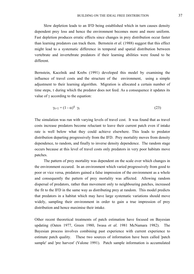Slow depletion leads to an IFD being established which in turn causes density dependent prey loss and hence the environment becomes more and more uniform. Fast depletion produces erratic effects since changes in prey distribution occur faster than learning predators can track them. Bernstein *et al.* (1988) suggest that this effect might lead to a systematic difference in temporal and spatial distribution between vertebrate and invertebrate predators if their learning abilities were found to be different.

Bernstein, Kacelnik and Krebs (1991) developed this model by examining the influence of travel costs and the structure of the environment, using a simple adjustment to their learning algorithm. Migration is allocated a certain number of time steps, τ during which the predator does not feed. As a consequence it updates its value of γ according to the equation:

$$
\gamma_{t+1} = (1 - \alpha)^{\tau} \gamma_t \tag{23}
$$

The simulation was run with varying levels of travel cost. It was found that as travel costs increase predators become reluctant to leave their current patch even if intake rate is well below what they could achieve elsewhere. This leads to predator distribution departing progressively from the IFD. Prey mortality moves from density dependence, to random, and finally to inverse density dependence. The random stage occurs because at this level of travel costs only predators in very poor habitats move patches.

 The pattern of prey mortality was dependent on the scale over which changes in the environment occured. In an environment which varied progressively from good to poor or vice versa, predators gained a false impression of the environment as a whole and consequently the pattern of prey mortality was affected. Allowing random dispersal of predators, rather than movement only to neighbouring patches, increased the fit to the IFD in the same way as distributing prey at random. This model predicts that predators in a habitat which may have large systematic variations should move widely, sampling their environment in order to gain a true impression of prey distribution and hence maximise their intake.

Other recent theoretical treatments of patch estimation have focused on Bayesian updating (Oaten 1977, Green 1980, Iwasa *et al.* 1981 McNamara 1982). The Bayesian process involves combining past experience with current experience to estimate patch quality. These two sources of information have been called 'patch sample' and 'pre harvest' (Valone 1991). Patch sample information is accumulated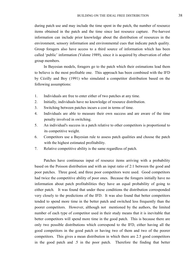during patch use and may include the time spent in the patch, the number of resource items obtained in the patch and the time since last resource capture. Pre-harvest information can include prior knowledge about the distribution of resources in the environment, sensory information and environmental cues that indicate patch quality. Group foragers also have access to a third source of information which has been called 'public' information (Valone 1989), since it is acquired by observation of other group members.

 In Bayesian models, foragers go to the patch which their estimations lead them to believe is the most profitable one. This approach has been combined with the IFD by Cézilly and Boy (1991) who simulated a competitor distribution based on the following assumptions:

- 1. Individuals are free to enter either of two patches at any time.
- 2. Initially, individuals have no knowledge of resource distribution.
- 3. Switching between patches incurs a cost in terms of time.
- 4. Individuals are able to measure their own success and are aware of the time penalty involved in switching.
- 5. An individual's success in a patch relative to other competitors is proportional to its competitive weight.
- 6. Competitors use a Bayesian rule to assess patch qualities and choose the patch with the highest estimated profitability.
- 7. Relative competitive ability is the same regardless of patch.

 Patches have continuous input of resource items arriving with a probability based on the Poisson distribution and with an input ratio of 2:1 between the good and poor patches. Three good, and three poor competitors were used. Good competitors had twice the competitive ability of poor ones. Because the foragers initially have no information about patch profitabilities they have an equal probability of going to either patch. It was found that under these conditions the distribution corresponded very closely to the predictions of the IFD. It was also found that better competitors tended to spend more time in the better patch and switched less frequently than the poorer competitors. However, although not mentioned by the authors, the limited number of each type of competitor used in their study means that it is inevitable that better competitors will spend more time in the good patch. This is because there are only two possible distributions which correspond to the IFD, either having all the good competitors in the good patch or having two of them and two of the poorer competitors. This gives a mean distribution in which there are 2.5 good competitors in the good patch and .5 in the poor patch. Therefore the finding that better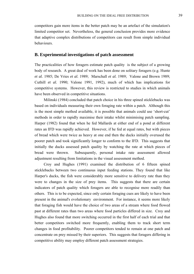competitors gain more items in the better patch may be an artefact of the simulation's limited competitor set. Nevertheless, the general conclusion provides more evidence that adaptive complex distributions of competitors can result from simple individual behaviours.

#### **B. Experimental investigations of patch assessment**

The practicalities of how foragers estimate patch quality is the subject of a growing body of research. A great deal of work has been done on solitary foragers (e.g. Hunte *et al.* 1985; De Vries *et al.* 1989; Marschall *et al.* 1989; Valone and Brown 1989; Cuthill *et al.* 1990; Valone 1991, 1992), much of which has implications for competitive systems. However, this review is restricted to studies in which animals have been observed in competitive situations.

 Milinski (1984) concluded that patch choice in his three spined sticklebacks was based on individuals measuring their own foraging rate within a patch. Although this is the most simple method available, it is possible that animals could use 'short-cut' methods in order to rapidly maximise their intake whilst minimising patch sampling. Harper (1982) found that when he fed Mallards at either end of a pond at different rates an IFD was rapidly achieved. However, if he fed at equal rates, but with pieces of bread which were twice as heavy at one end then the ducks initially overused the poorer patch and took significantly longer to conform to the IFD. This suggests that initially the ducks assessed patch quality by watching the rate at which pieces of bread were thrown. Subsequently, personal intake rate assessment allowed adjustment resulting from limitations in the visual assessment method.

 Croy and Hughes (1991) examined the distribution of 6 fifteen spined sticklebacks between two continuous input feeding stations. They found that like Harper's ducks, the fish were considerably more sensitive to delivery rate than they were to changes in the size of prey items. This suggests that there are certain indicators of patch quality which foragers are able to recognise more readily than others. This is to be expected, since only certain foraging cues are likely to have been present in the animal's evolutionary environment. For instance, it seems more likely that foraging fish would have the choice of two areas of a stream where food flowed past at different rates than two areas where food particles differed in size. Croy and Hughes also found that more switching occurred in the first half of each trial and that better competitors switched more frequently, enabling them to track short term changes in food profitability. Poorer competitors tended to remain at one patch and concentrate on prey missed by their superiors. This suggests that foragers differing in competitive ability may employ different patch assessment strategies.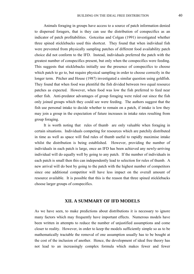Animals foraging in groups have access to a source of patch information denied to dispersed foragers, that is they can use the distribution of conspecifics as an indicator of patch profitabilities. Gotceitas and Colgan (1991) investigated whether three spined sticklebacks used this shortcut. They found that when individual fish were prevented from physically sampling patches of different food availability patch choice did not conform to the IFD. Instead, individuals preferred the patch with the greatest number of conspecifics present, but only when the conspecifics were feeding. This suggests that sticklebacks initially use the presence of conspecifics to choose which patch to go to, but require physical sampling in order to choose correctly in the longer term. Pitcher and House (1987) investigated a similar question using goldfish. They found that when food was plentiful the fish divided between two equal resource patches as expected. However, when food was low the fish preferred to feed near other fish. Anti-predator advantages of group foraging were ruled out since the fish only joined groups which they could see were feeding. The authors suggest that the fish use personal intake to decide whether to remain on a patch, if intake is low they may join a group in the expectation of future increases in intake rates resulting from group foraging.

 It is worth noting that rules of thumb are only valuable when foraging in certain situations. Individuals competing for resources which are patchily distributed in time as well as space will find rules of thumb useful to rapidly maximise intake whilst the distribution is being established. However, providing the number of individuals in each patch is large, once an IFD has been achieved any newly-arriving individual will do equally well by going to any patch. If the number of individuals in each patch is small then this can independently lead to selection for rules of thumb. A new arrival will do best by going to the patch with the highest number of competitors since one additional competitor will have less impact on the overall amount of resource available. It is possible that this is the reason that three spined sticklebacks choose larger groups of conspecifics.

#### **XII. A SUMMARY OF IFD MODELS**

As we have seen, to make predictions about distributions it is necessary to ignore many factors which may frequently have important effects. Numerous models have been written in attempts to reduce the number of unjustified assumptions and come closer to reality. However, in order to keep the models sufficiently simple so as to be mathematically tractable the removal of one assumption usually has to be bought at the cost of the inclusion of another. Hence, the development of ideal free theory has not lead to an increasingly complex formula which makes fewer and fewer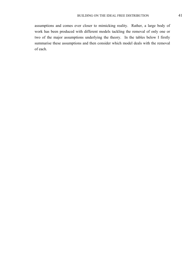assumptions and comes ever closer to mimicking reality. Rather, a large body of work has been produced with different models tackling the removal of only one or two of the major assumptions underlying the theory. In the tables below I firstly summarise these assumptions and then consider which model deals with the removal of each.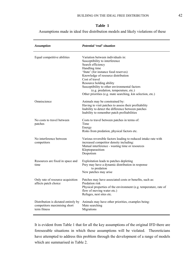#### **Table 1**

Assumptions made in ideal free distribution models and likely violations of these

| <b>Assumption</b>                                                                    | Potential 'real' situation                                                                                                                                                                                                                                                                                                                                                                   |
|--------------------------------------------------------------------------------------|----------------------------------------------------------------------------------------------------------------------------------------------------------------------------------------------------------------------------------------------------------------------------------------------------------------------------------------------------------------------------------------------|
| Equal competitive abilities                                                          | Variation between individuals in:<br>Susceptibility to interference<br>Search efficiency<br>Handling time<br>'State' (for instance food reserves)<br>Knowledge of resource distribution<br>Cost of travel<br>Resource holding ability<br>Susceptibility to other environmental factors<br>(e.g. predation, temperature, etc.)<br>Other priorities (e.g. mate searching, kin selection, etc.) |
| Omniscience                                                                          | Animals may be constrained by:<br>Having to visit patches to assess their profitability<br>Inability to detect the difference between patches<br>Inability to remember patch profitabilities                                                                                                                                                                                                 |
| No costs to travel between<br>patches                                                | Costs to travel between patches in terms of:<br>Time<br>Energy<br>Risks from predation, physical factors etc.                                                                                                                                                                                                                                                                                |
| No interference between<br>competitors                                               | Various reversible factors leading to reduced intake rate with<br>increased competitor density including:<br>Mutual interference - wasting time or resources<br>Kleptoparasitism<br>Despotism                                                                                                                                                                                                |
| Resources are fixed in space and<br>time                                             | Exploitation leads to patches depleting<br>Prey may have a dynamic distribution in response<br>to predation<br>New patches may arise                                                                                                                                                                                                                                                         |
| Only rate of resource acquisition<br>affects patch choice                            | Patches may have associated costs or benefits, such as:<br>Predation risk<br>Physical properties of the environment (e.g. temperature, rate of<br>flow of moving water etc.)<br>Refuges, nest sites etc.                                                                                                                                                                                     |
| Distribution is dictated entirely by<br>competitors maximising short<br>term fitness | Animals may have other priorities, examples being:<br>Mate searching<br>Migrations                                                                                                                                                                                                                                                                                                           |

It is evident from Table 1 that for all the key assumptions of the original IFD there are foreseeable situations in which these assumptions will be violated. Theoreticians have attempted to address this problem through the development of a range of models which are summarised in Table 2.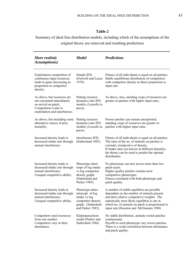#### **Table 2**

Summary of ideal free distribution models, including which of the assumptions of the original theory are removed and resulting predictions

| More realistic<br>Assumption(s)                                                                                                            | <b>Model</b>                                                                                                           | <b>Predictions</b>                                                                                                                                                                                                                                                                      |
|--------------------------------------------------------------------------------------------------------------------------------------------|------------------------------------------------------------------------------------------------------------------------|-----------------------------------------------------------------------------------------------------------------------------------------------------------------------------------------------------------------------------------------------------------------------------------------|
| Exploitation competition of<br>continuous input resources<br>leads to gains decreasing in<br>proportion to competitor<br>density.          | Simple IFD,<br>(Fretwell and Lucas<br>1970).                                                                           | Fitness of all individuals is equal on all patches.<br>Stable equilibrium distribution of competitors<br>with competitor density in direct proportion to<br>input rate.                                                                                                                 |
| As above, but resources are<br>not consumed immediately<br>on arrival on patch.<br>Competition is due to<br>exploitation and interference. | Putting resource<br>dynamics into IFD<br>models, (Lessells in<br>press).                                               | As above, also, standing crops of resources are<br>greater in patches with higher input rates.                                                                                                                                                                                          |
| As above, but including some<br>alternative source of prey<br>mortality.                                                                   | Putting resource<br>dynamics into IFD<br>models, (Lessells in<br>press).                                               | Poorer patches can remain unexploited,<br>standing crops of resources are greater in<br>patches with higher input rates.                                                                                                                                                                |
| Increased density leads to<br>decreased intake rate through<br>mutual interference.                                                        | Interference IFD,<br>(Sutherland 1983).                                                                                | Fitness of all individuals is equal on all patches.<br>The ratio of the no. of animals on patches is<br>constant, irrespective of density.<br>If intake rates are known at different densities,<br>the theory can be used to predict the optimal<br>distribution.                       |
| Increased density leads to<br>decreased intake rate through<br>mutual interference.<br>Unequal competitive ability.                        | Phenotype alters<br>slope of log intake<br>vs log competitor<br>density graph,<br>(Sutherland and<br>Parker 1985).     | No phenotype can mix across more than two<br>patch types.<br>Higher quality patches contain most<br>competitive phenotypes.<br>Fitness correlated with both phenotype and<br>patch quality.                                                                                             |
| Increased density leads to<br>decreased intake rate through<br>mutual interference.<br>Unequal competitive ability.                        | Phenotype alters<br>intercept of log<br>intake vs log<br>competitor density<br>graph, (Sutherland<br>and Parker 1985). | A number of stable equilibria are possible<br>dependent on the number of animals present<br>and their relative competitive weights. The<br>statistically most likely equilibria is one in<br>which no. of animals on patch is proportional to<br>input rate (Houston and McNamara 1988) |
| Competitors steal resources<br>from one another.<br>Competitors vary in their<br>dominance.                                                | Kleptoparasitism<br>model (Parker and<br>Sutherland 1986)                                                              | No stable distribution, animals switch patches<br>continuously.<br>Payoffs to each phenotype vary across patches.<br>There is a weak correlation between dominance<br>and patch quality.                                                                                                |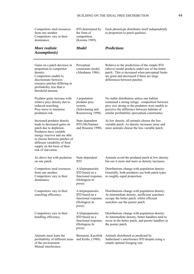| Competitors steal resources<br>from one another.<br>Competitors vary in their<br>dominance.                                                                                                                                                                             | IFD determined by<br>the form of<br>competition,<br>(Korona 1989).                              | Each phenotype distributes itself independently<br>in proportion to patch qualities.                                                                                                                                                             |
|-------------------------------------------------------------------------------------------------------------------------------------------------------------------------------------------------------------------------------------------------------------------------|-------------------------------------------------------------------------------------------------|--------------------------------------------------------------------------------------------------------------------------------------------------------------------------------------------------------------------------------------------------|
| More realistic<br>Assumption(s)                                                                                                                                                                                                                                         | <b>Model</b>                                                                                    | <b>Predictions</b>                                                                                                                                                                                                                               |
| Gains on a patch decrease in<br>proportion to competitor<br>density.<br>Competitors unable to<br>discriminate between<br>resource patches differing in<br>profitability less than a<br>threshold amount.                                                                | Perceptual<br>constraints model,<br>(Abrahams 1986).                                            | Relative to the predictions of the simple IFD<br>(above) model predicts under-use of the better<br>patch. This is increased when perceptual limits<br>are great and decreased if there are large<br>differences between patches.                 |
| Predator gains increase with<br>relative prey density due to<br>reduced searching.<br>Prey move to minimise<br>predation risk.                                                                                                                                          | 3 population<br>predator prey<br>system,<br>(Schwinning and<br>Rosenzweig 1990).                | No stable distribution unless one habitat<br>contained a strong refuge, competition between<br>prey was strong or the predators were unable to<br>perceive the difference between habitats of<br>similar profitability (perceptual constraints). |
| Increased predator density<br>leads to decreased gains on<br>patch due to depletion.<br>Predators have variable<br>energy reserves and are able<br>to choose between patches of<br>different variability of food<br>supply on the basis of their<br>risk of starvation. | State dependent<br>IFD (McNamara<br>and Houston 1990).                                          | At low density, all animals choose the less<br>variable patch. As density increases more and<br>more animals choose the less variable patch.                                                                                                     |
| As above but with predation<br>on one patch.                                                                                                                                                                                                                            | State dependent<br><b>IFD</b>                                                                   | Animals avoid the predated patch at low density<br>but use it more and more as density increases.                                                                                                                                                |
| Competitors steal resources<br>from one another.<br>Competitors vary in their<br>dominance.                                                                                                                                                                             | A kleptoparasitic<br>IFD based on a<br>(Holmgren $In$<br><i>press</i> )                         | Distributions change with population density.<br>Generally, both predators use both patch types<br>functional response. in roughly equal proportion.                                                                                             |
| Competitors vary in their<br>searching efficiency.                                                                                                                                                                                                                      | A kleptoparasitic<br>IFD based on a<br>functional response.<br>(Holmgren $In$<br>press)         | Distributions change with population density.<br>At intermediate density, inefficient searchers<br>occupy the better patch, whilst efficient<br>searchers use the poorer patch.                                                                  |
| Competitors vary in their<br>handling efficiency.                                                                                                                                                                                                                       | A kleptoparasitic<br>IFD based on a<br>functional response.<br>(Holmgren $In$<br><i>press</i> ) | Distributions change with population density.<br>At intermediate density, better handlers tend to<br>occur in the better patch, and poorer handlers in<br>the poorer patch.                                                                      |
| Animals must learn the<br>profitability of different areas<br>of the environment.<br>Mutual interference.                                                                                                                                                               | Bernstein, Kacelnik<br>and Krebs, (1988).                                                       | Animals distributed as predicted by<br>Sutherland's interference IFD despite using a<br>simple optimal foraging rule.                                                                                                                            |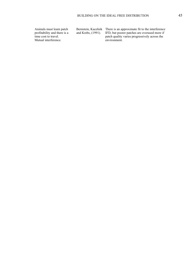Animals must learn patch profitability and there is a time cost to travel. Mutual interference.

Bernstein, Kacelnik and Krebs, (1991).

There is an approximate fit to the interference IFD, but poorer patches are overused more if patch quality varies progressively across the environment.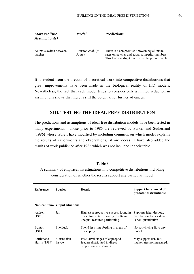| More realistic<br>Assumption(s)    | <b>Model</b>                 | <i>Predictions</i>                                                                                                                                |
|------------------------------------|------------------------------|---------------------------------------------------------------------------------------------------------------------------------------------------|
| Animals switch between<br>patches. | Houston et al. (In<br>Press) | There is a compromise between equal intake<br>rates on patches and equal competitor numbers.<br>This leads to slight overuse of the poorer patch. |

It is evident from the breadth of theoretical work into competitive distributions that great improvements have been made in the biological reality of IFD models. Nevertheless, the fact that each model tends to consider only a limited reduction in assumptions shows that there is still the potential for further advances.

### **XIII. TESTING THE IDEAL FREE DISTRIBUTION**

The predictions and assumptions of ideal free distribution models have been tested in many experiments. Those prior to 1985 are reviewed by Parker and Sutherland (1986) whose table I have modified by including comment on which model explains the results of experiments and observations, (if one does). I have also added the results of work published after 1985 which was not included in their table.

#### **Table 3**

A summary of empirical investigations into competitive distributions including consideration of whether the results support any particular model

| <b>Reference</b>             | <b>Species</b>                  | <b>Result</b>                                                                                                     | Support for a model of<br>predator distributions?                            |
|------------------------------|---------------------------------|-------------------------------------------------------------------------------------------------------------------|------------------------------------------------------------------------------|
|                              | Non-continuous input situations |                                                                                                                   |                                                                              |
| Andren<br>(1990)             | Jay                             | Highest reproductive success found in<br>dense forest, territoriality results in<br>unequal resource partitioning | Supports ideal despotic<br>distribution, but evidence<br>is non-quantitative |
| <b>Buxton</b><br>(1981)      | <b>Shelduck</b>                 | Spend less time feeding in areas of<br>dense prey                                                                 | No convincing fit to any<br>model                                            |
| Fortier and<br>Harris (1989) | Marine fish<br>larvae           | Post-larval stages of copeopod<br>feeders distributed in direct<br>proportion to resources                        | May support IFD but<br>intake rates not measured.                            |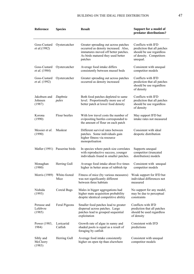| Reference                         | <b>Species</b>                | <b>Result</b>                                                                                                                                                       | Support for a model of<br>predator distributions?                                                                    |
|-----------------------------------|-------------------------------|---------------------------------------------------------------------------------------------------------------------------------------------------------------------|----------------------------------------------------------------------------------------------------------------------|
| Goss-Custard<br>et al.(1982)      | Oystercatcher                 | Greater spreading out across patches<br>occurred as density increased. Also,<br>immatures moved off better patches.<br>As birds matured they used better<br>patches | Conflicts with IFD<br>prediction that all patches<br>should be use regardless<br>of density. Competitors<br>unequal. |
| Goss-Custard<br>et al. (1984)     | Oystercatcher                 | Average food intake differs<br>consistently between mussel beds                                                                                                     | Consistent with unequal<br>competitor models                                                                         |
| Goss-Custard<br>et al. (1992)     | Oystercatcher                 | Greater spreading out across patches<br>occurred as density increased                                                                                               | Conflicts with IFD<br>prediction that all patches<br>should be use regardless<br>of density                          |
| Jakobsen and<br>Johnsen<br>(1987) | Daphnia<br>pulex              | Both food patches depleted to same<br>level. Proportionally more use of<br>better patch at lower food density                                                       | Conflicts with IFD<br>prediction that all patches<br>should be use regardless<br>of density                          |
| Korona<br>(1990)                  | Flour beetles                 | With low travel costs the number of<br>ovipositing beetles corresponded to<br>the amount of flour on each patch                                                     | May support IFD but<br>intake rates not measured                                                                     |
| Messier et al.<br>(1990)          | Muskrat                       | Different survival rates between<br>patches. Some individuals gain<br>higher fitness via resource<br>monopolisation                                                 | Consistent with ideal<br>despotic distribution                                                                       |
|                                   | Møller (1991) Passerine birds | In species where patch size correlates<br>with reproductive success, younger<br>individuals found in smaller patches.                                               | Supports unequal<br>competitor (truncated<br>distribution) models                                                    |
| Monaghan<br>(1980)                | Herring Gull                  | Average food intake about five times<br>higher in better areas of rubbish tip                                                                                       | Consistent with unequal<br>competitor models                                                                         |
| Morris (1989)                     | White-footed<br>Mice          | Fitness of mice (by various measures)<br>was not significantly different<br>between three habitats                                                                  | Weak support for IFD but<br>individual differences not<br>measured                                                   |
| Nishida<br>(1993)                 | Coreid Bugs                   | Males in bigger aggregations had<br>higher mate acquisition probability<br>despite identical competitive ability                                                    | No support for any model,<br>may be due to perceptual<br>constraints                                                 |
| Perusse and<br>Lefebvre<br>(1985) | Feral Pigeons                 | Smaller food patches lead to greater<br>dispersal across patches. Large<br>patches lead to grouped sequential<br>exploitation                                       | Conflicts with IFD<br>prediction that all patches<br>should be used regardless<br>of density                         |
| Power (1983,<br>1984)             | Loricariid<br>Catfish         | Growth rate of algae in sunny and<br>shaded pools is equal as a result of<br>foraging by catfish                                                                    | Consistent with IFD<br>predictions                                                                                   |
| Sibly and<br>McCleery<br>(1983)   | Herring Gull                  | Average food intake consistently<br>higher on open tip than elsewhere                                                                                               | Consistent with unequal<br>competitor models                                                                         |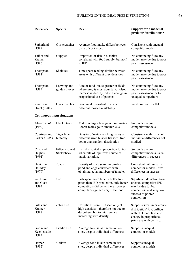| Reference                          | <b>Species</b>                     | <b>Result</b>                                                                                                                                                | Support for a model of<br>predator distributions?                                                                                            |
|------------------------------------|------------------------------------|--------------------------------------------------------------------------------------------------------------------------------------------------------------|----------------------------------------------------------------------------------------------------------------------------------------------|
| Sutherland<br>(1982)               | Oystercatcher                      | Average food intake differs between<br>parts of cockle bed                                                                                                   | Consistent with unequal<br>competitor models                                                                                                 |
| Talbot and<br>Kramer<br>(1986)     | Guppies                            | Proportion of fish in a habitat<br>correlated with food supply, but no fit<br>to IFD                                                                         | No convincing fit to any<br>model, may be due to poor<br>patch assessment                                                                    |
| Thompson<br>(1981)                 | Shelduck                           | Time spent feeding similar between<br>areas with different prey densities                                                                                    | No convincing fit to any<br>model, may be due to poor<br>patch assessment                                                                    |
| Thompson<br>(1984)                 | Lapwing and<br>golden plover       | Rate of food intake greater in fields<br>where prey is most abundant. Also,<br>increase in density led to a change in<br>proportional use of patches         | No convincing fit to any<br>model, may be due to poor<br>patch assessment or to<br>unequal competitors                                       |
| Zwarts and<br>Drent (1981)         | Oystercatcher                      | Food intake constant in years of<br>different mussel availability                                                                                            | Weak support for IFD                                                                                                                         |
|                                    | <b>Continuous input situations</b> |                                                                                                                                                              |                                                                                                                                              |
| Alatalo et al.<br>(1992)           | <b>Black Grouse</b>                | Males in larger leks gain more mates.<br>Poorer males go to smaller leks                                                                                     | Supports unequal<br>competitor models                                                                                                        |
| Courtney and<br>Parker (1985)      | Tiger blue<br>butterfly            | Density of mate searching males on<br>different sized bushes fits ideal free<br>better than random distribution                                              | Consistent with IFD but<br>individual differences not<br>studied                                                                             |
| Croy and<br>Hughes<br>(1991)       | Fifteen-spined<br>Stickleback      | Fish distributed in proportion to food<br>when rate of input was source of<br>patch variation.                                                               | Supports unequal<br>competitor models - size<br>differences in success                                                                       |
| Davies and<br>Halliday<br>(1979)   | Toads                              | Density of mate searching males in<br>pond and edge consistent with<br>obtaining equal numbers of females                                                    | Consistent with unequal<br>competitor models - size<br>differences in success                                                                |
| van Duren<br>and Glass<br>(1992)   | Cod                                | Fish spent more time in better food<br>patch than IFD prediction, only better<br>competitors did better there. poorer<br>competitors gained very little food | Significant deviation from<br>unequal competitor IFD<br>may be due to few<br>competitors and very low<br>success of poorer<br>competitors    |
| Gillis and<br>Kramer<br>(1987)     | Zebra fish                         | Deviations from IFD seen only at<br>high densities - therefore not due to<br>despotism, but to interference<br>increasing with density                       | Supports 'ideal interference<br>distribution' $1$ . Conflicts<br>with IFD models due to<br>change in proportional<br>patch use with density. |
| Godin and<br>Keenleyside<br>(1984) | Cichlid fish                       | Average food intake same in two<br>sites, despite individual differences                                                                                     | Supports unequal<br>competitor models                                                                                                        |
| Harper<br>(1982)                   | Mallard                            | Average food intake same in two<br>sites, despite individual differences                                                                                     | Supports unequal<br>competitor models                                                                                                        |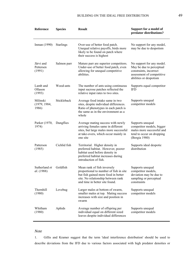| Reference                         | <b>Species</b>   | <b>Result</b>                                                                                                                                                                        | Support for a model of<br>predator distributions?                                                                                      |
|-----------------------------------|------------------|--------------------------------------------------------------------------------------------------------------------------------------------------------------------------------------|----------------------------------------------------------------------------------------------------------------------------------------|
| Inman (1990)                      | <b>Starlings</b> | Over-use of better food patch.<br>Unequal relative payoffs, birds more<br>likely to be found on patch where<br>their success is highest                                              | No support for any model,<br>may be due to despotism                                                                                   |
| Järvi and<br>Pettersen<br>(1991)  | Salmon parr      | Mature parr are superior competitors.<br>Under-use of better food patch, even<br>allowing for unequal competitive<br>abilities.                                                      | No support for any model.<br>May be due to perceptual<br>constraints, incorrect<br>assessment of competitive<br>abilities or despotism |
| Lamb and<br>Ollason<br>(1993)     | Wood-ants        | The number of ants using continuous<br>input sucrose patches reflected the<br>relative input rates to two sites.                                                                     | Supports equal competitor<br><b>IFD</b>                                                                                                |
| Milinski<br>(1979, 1984,<br>1986) | Stickleback      | Average food intake same in two<br>sites, despite individual differences.<br>Ratio of phenotypes in each patch is<br>the same as in the environment as a<br>whole                    | Supports unequal<br>competitor models                                                                                                  |
| Parker (1970,<br>1974)            | Dungflies        | Average mating success with newly<br>arriving females same in different<br>sites, but large males more successful<br>at take-overs, which occur mainly in<br>one site                | Supports unequal<br>competitor models, bigger<br>males more successful and<br>tend to occur on dropping<br>(Borgia 1980)               |
| Patterson<br>(1985)               | Cichlid fish     | Territorial. Higher density in<br>preferred habitat. However, poorer<br>habitat used before density in<br>preferred habitat increases during<br>introduction of fish.                | Supports ideal despotic<br>distribution                                                                                                |
| Sutherland et<br>al. (1988)       | Goldfish         | Mean rank of fish inversely<br>proportional to number of fish in site<br>but fish gained more food in better<br>site. No relationship between rank<br>and time in better site found. | Supports unequal<br>competitor models,<br>deviation may be due to<br>sampling or perceptual<br>constraints                             |
| Thornhill<br>(1980)               | Lovebug          | Larger males at bottom of swarm,<br>smaller males at top. Mating success<br>increases with size and position in<br>swarm                                                             | Supports unequal<br>competitor models                                                                                                  |
| Whitham<br>(1980)                 | Aphids           | Average number of offspring per<br>individual equal on different sized<br>leaves despite individual differences                                                                      | Supports unequal<br>competitor models                                                                                                  |

#### *Note*

1. Gillis and Kramer suggest that the term 'ideal interference distribution' should be used to describe deviations from the IFD due to various factors associated with high predator densities or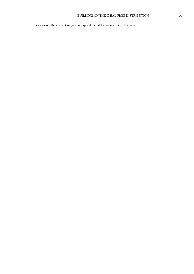despotism. They do not suggest any specific model associated with this name.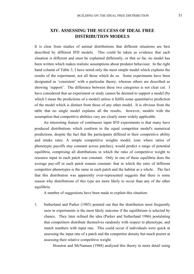## **XIV. ASSESSING THE SUCCESS OF IDEAL FREE DISTRIBUTION MODELS**

It is clear from studies of animal distributions that different situations are best described by different IFD models. This could be taken as evidence that each situation is different and must be explained differently, or that so far, no model has been written which makes realistic assumptions about predator behaviour. In the right hand column of Table 3, I have noted only the most simple model which explains the results of the experiment, not all those which do so. Some experiments have been designated as 'consistent' with a particular theory, whereas others are described as showing 'support'. The difference between these two categories is not clear cut. I have considered that an experiment or study cannot be deemed to support a model (by which I mean the predictions of a model) unless it fulfils some quantitative prediction of the model which is distinct from those of any other model. It is obvious from the table that no single model explains all the results, however, models with the assumption that competitive abilities vary are clearly more widely applicable.

 An interesting feature of continuous input IFD experiments is that many have produced distributions which conform to the equal competitor model's numerical predictions, despite the fact that the participants differed in their competitive ability and intake rates. A simple competitive weights model, (one where ratios of phenotypic payoffs stay constant across patches), would predict a range of potential equilibria, comprising all distributions in which the ratio of competitive weight to resource input in each patch was constant. Only in one of these equilibria does the average pay-off in each patch remain constant: that in which the ratio of different competitor phenotypes is the same in each patch and the habitat as a whole. The fact that this distribution was apparently over-represented suggests that there is some reason why distributions of this type are more likely to occur than any of the other equilibria.

A number of suggestions have been made to explain this situation:

1. Sutherland and Parker (1985) pointed out that the distribution most frequently seen in experiments is the most likely outcome if the equilibrium is selected by chance. They later refined the idea (Parker and Sutherland 1986) postulating that competitors distribute themselves randomly with respect to phenotype, and match numbers with input rate. This could occur if individuals were quick at assessing the input rate of a patch and the competitor density but much poorer at assessing their relative competitive weight.

Houston and McNamara (1988) analysed this theory in more detail using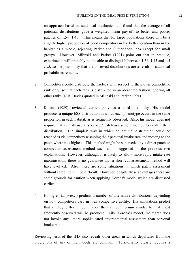an approach based on statistical mechanics and found that the average of all potential distributions gave a weighted mean pay-off to better and poorer patches of 1.54 :1.45. This means that for large populations there will be a slightly higher proportion of good competitors in the better location than in the habitat as a whole, rejecting Parker and Sutherland's idea except for small groups. However, Milinski and Parker (1991) point out that in practice, experiments will probably not be able to distinguish between 1.54 :1.45 and 1.5 :1.5, so the possibility that the observed distributions are a result of statistical probabilities remains.

- 2. Competitors could distribute themselves with respect to their own competitive rank only, so that each rank is distributed in an ideal free fashion ignoring all other ranks (N.B. Davies quoted in Milinski and Parker 1991).
- 3. Korona (1989), reviewed earlier, provides a third possibility. His model produces a unique ESS distribution in which each phenotype occurs in the same proportion in each habitat, as is frequently observed. Also, his model does not require that animals use a 'short-cut' patch assessment method to explain their distribution. The simplest way in which an optimal distribution could be reached is via competitors assessing their personal intake rate and moving to the patch where it is highest. This method might be superseded by a direct patch or competitor assessment method such as is suggested in the previous two explanations. However, although it is likely to allow more rapid intake rate maximisation, there is no guarantee that a short-cut assessment method will have evolved. Also, there are some situations in which patch assessment without sampling will be difficult. However, despite these advantages there are some grounds for caution when applying Korona's model which are discussed earlier.
- 4. Holmgren (*in press* ) predicts a number of alternative distributions, depending on how competitors vary in their competitive ability. His simulations predict that if they differ in dominance then an equilibrium similar to that most frequently observed will be produced. Like Korona's model, Holmgren does not invoke any more sophisticated environmental assessment than personal intake rate.

Reviewing tests of the IFD also reveals other areas in which departures from the predictions of any of the models are common. Territoriality clearly requires a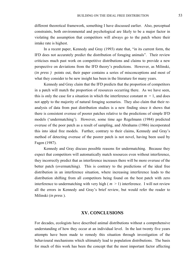different theoretical framework, something I have discussed earlier. Also, perceptual constraints, both environmental and psychological are likely to be a major factor in violating the assumption that competitors will always go to the patch where their intake rate is highest.

 In a recent paper, Kennedy and Gray (1993) state that, "in its current form, the IFD does not accurately predict the distribution of foraging animals". Their review criticises much past work on competitive distributions and claims to provide a new perspective on deviations from the IFD theory's predictions. However, as Milinski, (*in press )* points out, their paper contains a series of misconceptions and most of what they consider to be new insight has been in the literature for many years.

 Kennedy and Gray claim that the IFD predicts that the proportion of competitors in a patch will match the proportion of resources occurring there. As we have seen, this is only the case for a situation in which the interference constant  $m = 1$ , and does not apply to the majority of natural foraging scenarios. They also claim that their reanalysis of data from past distribution studies is a new finding since it shows that there is consistent overuse of poorer patches relative to the predictions of simple IFD models ('undermatching'). However, some time ago Regelmann (1984) predicted overuse of the poor patch as a result of sampling, and Abrahams (1986) incorporated this into ideal free models. Further, contrary to their claims, Kennedy and Gray's method of detecting overuse of the poorer patch is not novel, having been used by Fagen (1987).

 Kennedy and Gray discuss possible reasons for undermatching. Because they expect that competitors will automatically match resources even without interference, they incorrectly predict that as interference increases there will be more overuse of the better patch (overmatching). This is contrary to the predictions of the ideal free distribution in an interference situation, where increasing interference leads to the distribution shifting from all competitors being found on the best patch with zero interference to undermatching with very high  $(m \ge 1)$  interference. I will not review all the errors in Kennedy and Gray's brief review, but would refer the reader to Milinski (*in press* ).

#### **XV. CONCLUSIONS**

For decades, ecologists have described animal distributions without a comprehensive understanding of how they occur at an individual level. In the last twenty five years attempts have been made to remedy this situation through investigation of the behavioural mechanisms which ultimately lead to population distributions. The basis for much of this work has been the concept that the most important factor affecting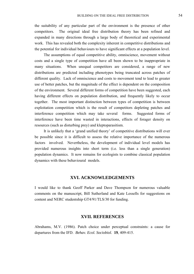the suitability of any particular part of the environment is the presence of other competitors. The original ideal free distribution theory has been refined and expanded in many directions through a large body of theoretical and experimental work. This has revealed both the complexity inherent in competitive distributions and the potential for individual behaviours to have significant effects at a population level.

 The assumptions of equal competitive ability, omniscience, movement without costs and a single type of competition have all been shown to be inappropriate in many situations. When unequal competitors are considered, a range of new distributions are predicted including phenotypes being truncated across patches of different quality. Lack of omniscience and costs to movement tend to lead to greater use of better patches, but the magnitude of the effect is dependent on the composition of the environment. Several different forms of competition have been suggested, each having different effects on population distribution, and frequently likely to occur together. The most important distinction between types of competition is between exploitation competition which is the result of competitors depleting patches and interference competition which may take several forms. Suggested forms of interference have been time wasted in interactions, effects of forager density on resources (such as disturbing prey) and kleptoparasitism.

 It is unlikely that a 'grand unified theory' of competitive distributions will ever be possible since it is difficult to assess the relative importance of the numerous factors involved. Nevertheless, the development of individual level models has provided numerous insights into short term (i.e. less than a single generation) population dynamics. It now remains for ecologists to combine classical population dynamics with these behavioural models.

#### **XVI. ACKNOWLEDGEMENTS**

I would like to thank Geoff Parker and Dave Thompson for numerous valuable comments on the manuscript, Bill Sutherland and Kate Lessells for suggestions on content and NERC studentship GT4/91/TLS/30 for funding.

#### **XVII. REFERENCES**

Abrahams, M.V. (1986). Patch choice under perceptual constraints: a cause for departures from the IFD. *Behav. Ecol. Sociobiol.* **19**, 409-415.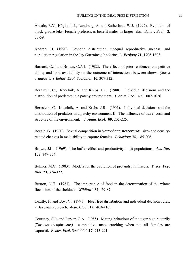Alatalo, R.V., Höglund, J., Lundberg, A. and Sutherland, W.J. (1992). Evolution of black grouse leks: Female preferences benefit males in larger leks. *Behav. Ecol.* **3**, 53-59.

Andren, H. (1990). Despotic distribution, unequal reproductive success, and population regulation in the Jay *Garrulus glandarius* L. *Ecology* **71**, 1706-1803.

Barnard, C.J. and Brown, C.A.J. (1982). The effects of prior residence, competitive ability and food availability on the outcome of interactions between shrews *(Sorex araneus* L.) *Behav. Ecol. Sociobiol.* **10**, 307-312.

Bernstein, C., Kacelnik, A. and Krebs, J.R. (1988). Individual decisions and the distribution of predators in a patchy environment. *J. Anim. Ecol.* **57**, 1007-1026.

Bernstein, C. Kacelnik, A. and Krebs, J.R. (1991). Individual decisions and the distribution of predators in a patchy environment II. The influence of travel costs and structure of the environment. *J. Anim. Ecol.* **60**, 205-225.

Borgia, G. (1980). Sexual competition in *Scatophaga stercoraria*: size- and densityrelated changes in male ability to capture females. *Behaviour* **75**, 185-206.

Brown, J.L. (1969). The buffer effect and productivity in tit populations. *Am. Nat.*  **103**, 347-354.

Bulmer, M.G. (1983). Models for the evolution of protandry in insects. *Theor. Pop. Biol.* **23**, 324-322.

Buxton, N.E. (1981). The importance of food in the determination of the winter flock sites of the shelduck. *Wildfowl* **32**, 79-87.

Cézilly, F. and Boy, V. (1991). Ideal free distribution and individual decision rules: a Bayesian approach. *Acta. Œcol.* **12**, 403-410.

Courtney, S.P. and Parker, G.A. (1985). Mating behaviour of the tiger blue butterfly (*Tarucus theophrastus)* competitive mate-searching when not all females are captured. *Behav. Ecol. Sociobiol.* **17**, 213-221.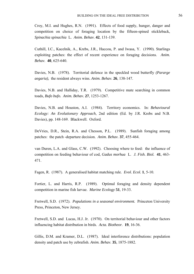Croy, M.I. and Hughes, R.N. (1991). Effects of food supply, hunger, danger and competition on choice of foraging location by the fifteen-spined stickleback, *Spinachia spinachia* L. *Anim. Behav.* **42**, 131-139.

Cuthill, I.C., Kacelnik, A., Krebs, J.R., Haccou, P. and Iwasa, Y. (1990). Starlings exploiting patches: the effect of recent experience on foraging decisions. *Anim. Behav.* **40**, 625-640.

Davies, N.B. (1978). Territorial defence in the speckled wood butterfly *(Pararge aegaria),* the resident always wins. *Anim. Behav.* **26**, 138-147.

Davies, N.B. and Halliday, T.R. (1979). Competitive mate searching in common toads, *Bufo bufo. Anim. Behav.* **27**, 1253-1267.

Davies, N.B. and Houston, A.I. (1984). Territory economics. In: *Behavioural Ecology: An Evolutionary Approach*, 2nd edition (Ed. by J.R. Krebs and N.B. Davies), pp. 148-169. Blackwell. Oxford.

DeVries, D.R., Stein, R.A. and Chesson, P.L. (1989). Sunfish foraging among patches: the patch -departure decision. *Anim. Behav.* **37**, 455-464.

van Duren, L.A. and Glass, C.W. (1992). Choosing where to feed: the influence of competition on feeding behaviour of cod, *Gadus morhua* L. *J. Fish. Biol.* **41**, 463- 471.

Fagen, R. (1987). A generalised habitat matching rule. *Evol. Ecol.* **1**, 5-10.

Fortier, L. and Harris, R.P. (1989). Optimal foraging and density dependent competition in marine fish larvae. *Marine Ecology* **51**, 19-33.

Fretwell, S.D. (1972). *Populations in a seasonal environment.* Princeton University Press, Princeton, New Jersey.

Fretwell, S.D. and Lucas, H.J. Jr. (1970). On territorial behaviour and other factors influencing habitat distribution in birds. *Acta. Biotheor.* **19**, 16-36.

Gillis, D.M. and Kramer, D.L. (1987). Ideal interference distributions: population density and patch use by zebrafish. *Anim. Behav.* **35**, 1875-1882.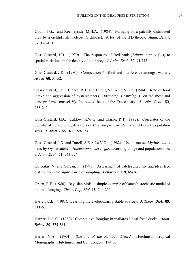Godin, J.G.J. and Keenleyside, M.H.A. (1984). Foraging on a patchily distributed prey by a cichlid fish (Teleosti Cichlidae): A test of the IFD theory. *Anim. Behav.* **32**, 120-131.

Goss-Custard, J.D. (1970). The responses of Redshank (*Tringa totanus* (L.)) to spatial variations in the density of their prey. *J. Anim. Ecol.* **39**, 91-113.

Goss-Custard, J.D. (1980). Competition for food and interference amongst waders. *Ardea* **68**, 31-52.

Goss-Custard, J.D., Clarke, R.T. and Durell, S.E.A.Le V.Dit. (1984). Rate of food intake and aggression of oystercatchers *Haematopus ostralegus* on the most and least preferred mussel *Mytilus edulis* beds of the Exe estuary. *J. Anim. Ecol.* **53**, 233-245.

Goss-Custard, J.D., Caldow, R.W.G. and Clarke, R.T. (1992). Correlates of the density of foraging oystercatchers *Haematopus ostralegus* at different population sizes. *J. Anim. Ecol.* **61**, 159-173.

Goss-Custard, J.D. and Durell, S.E.A.Le V.Dit. (1982). Use of mussel *Mytilus edulis* beds by Oystercatchers *Haematopus ostralegus* according to age and population size. *J. Anim. Ecol.* **51**, 543-554.

Gotceitas, V. and Colgan, P. (1991). Assessment of patch suitability and ideal free distribution: the significance of sampling. *Behaviour* **119**, 65-76.

Green, R.F. (1980). Bayesian birds: a simple example of Oaten's stochastic model of optimal foraging. *Theor. Pop. Biol.* **18**, 244-256.

Harley, C.B. (1981). Learning the evolutionarily stable strategy. *J. Theor. Biol.* **89**, 611-633.

Harper, D.G.C. (1982). Competitive foraging in mallards "ideal free" ducks. *Anim. Behav.* **30**, 575-584.

Harris, V.A. (1964). *The life of the Rainbow Lizard.* Hutchinson Tropical Monographs. Hutchinson and Co. London. 174 pp.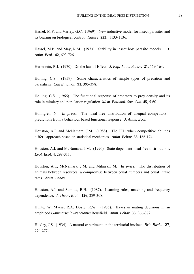Hassel, M.P. and Varley, G.C. (1969). New inductive model for insect parasites and its bearing on biological control. *Nature* **223**. 1133-1136.

Hassel, M.P. and May, R.M. (1973). Stability in insect host parasite models. *J. Anim. Ecol.* **42**, 693-726.

Herrnstein, R.J. (1970). On the law of Effect. *J. Exp. Anim. Behav.* **21**, 159-164.

Holling, C.S. (1959). Some characteristics of simple types of predation and parasitism. *Can Entomol.* **91**, 395-398.

Holling, C.S. (1966). The functional response of predators to prey density and its role in mimicry and population regulation. *Mem. Entomol. Soc. Can.* **45**, 5-60.

Holmgren, N. *In press*. The ideal free distribution of unequal competitors predictions from a behaviour based functional response. *J. Anim. Ecol.* 

Houston, A.I. and McNamara, J.M. (1988). The IFD when competitive abilities differ: approach based on statistical mechanics. *Anim. Behav.* **36**, 166-174.

Houston, A.I. and McNamara, J.M. (1990). State-dependent ideal free distributions. *Evol. Ecol.* **4**, 298-311.

Houston, A.I., McNamara, J.M. and Milinski, M. *In press*. The distribution of animals between resources: a compromise between equal numbers and equal intake rates. *Anim. Behav.*

Houston, A.I. and Sumida, B.H. (1987). Learning rules, matching and frequency dependence. *J. Theor. Biol.* **126**, 289-308.

Hunte, W. Myers, R.A. Doyle, R.W. (1985). Bayesian mating decisions in an amphipod *Gammarus lawrencianus* Bousfield. *Anim. Behav.* **33**, 366-372.

Huxley, J.S. (1934). A natural experiment on the territorial instinct. *Brit. Birds.* **27**, 270-277.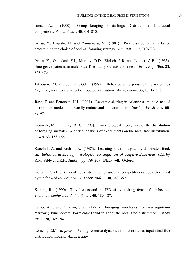Inman, A.J. (1990). Group foraging in starlings: Distributions of unequal competitors. *Anim. Behav.* **40**, 801-810.

Iwasa, Y., Higashi, M. and Yamamura, N. (1981). Prey distribution as a factor determining the choice of optimal foraging strategy. *Am. Nat.* **117**, 710-723.

Iwasa, Y., Odendaal, F.J., Murphy, D.D., Ehrlich, P.R. and Launer, A.E. (1983). Emergence patterns in male butterflies: a hypothesis and a test. *Theor. Pop. Biol.* **23**, 363-379.

Jakobsen, P.J. and Johnsen, G.H. (1987). Behavioural response of the water flea *Daphnia pulex* to a gradient of food concentration. *Anim. Behav.* **35**, 1891-1895.

Järvi, T. and Pettersen, J.H. (1991). Resource sharing in Atlantic salmon: A test of distribution models on sexually mature and immature parr. *Nord. J. Fresh. Res.* **66**, 89-97.

Kennedy, M. and Gray, R.D. (1993). Can ecological theory predict the distribution of foraging animals? A critical analysis of experiments on the ideal free distribution. *Oikos* **68**, 158-166.

Kacelnik, A. and Krebs, J.R. (1985). Learning to exploit patchily distributed food. In: *Behavioural Ecology - ecological consequences of adaptive Behaviour* (Ed. by R.M. Sibly and R.H. Smith), pp. 189-205. Blackwell. Oxford.

Korona, R. (1989). Ideal free distribution of unequal competitors can be determined by the form of competition. *J. Theor. Biol.* **138**, 347-352.

Korona, R. (1990). Travel costs and the IFD of ovipositing female flour beetles, *Tribolium confusum*.. *Anim. Behav.* **40**, 186-187.

Lamb, A.E. and Ollason, J.G. (1993). Foraging wood-ants *Formica aquilonia* Yarrow (Hymenoptera, Formicidae) tend to adopt the ideal free distribution. *Behav Proc.* **28**, 189-198.

Lessells, C.M. *In press.* Putting resource dynamics into continuous input ideal free distribution models. *Anim. Behav.*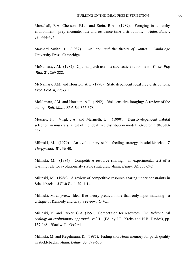Marschall, E.A. Chesson, P.L. and Stein, R.A. (1989). Foraging in a patchy environment: prey-encounter rate and residence time distributions. *Anim. Behav.* **37**, 444-454.

Maynard Smith, J. (1982). *Evolution and the theory of Games.* Cambridge University Press, Cambridge.

McNamara, J.M. (1982). Optimal patch use in a stochastic environment. *Theor. Pop .Biol.* **21**, 269-288.

McNamara, J.M. and Houston, A.I. (1990). State dependent ideal free distributions. *Evol .Ecol.* **4**, 298-311.

McNamara, J.M. and Houston, A.I. (1992). Risk sensitive foraging: A review of the theory. *Bull. Math. Biol.* **54**, 355-378.

Messier, F., Virgl, J.A. and Marinelli, L. (1990). Density-dependent habitat selection in muskrats: a test of the ideal free distribution model. *Oecologia* **84**, 380- 385.

Milinski, M. (1979). An evolutionary stable feeding strategy in sticklebacks. *Z Tierpyschol.* **51**, 36-40.

Milinski, M. (1984). Competitive resource sharing: an experimental test of a learning rule for evolutionarily stable strategies. *Anim. Behav.* **32**, 233-242.

Milinski, M. (1986). A review of competitive resource sharing under constraints in Sticklebacks. *J Fish Biol.* **29**, 1-14

Milinski, M. *In press*. Ideal free theory predicts more than only input matching - a critique of Kennedy and Gray's review. *Oikos.*

Milinski, M. and Parker, G.A. (1991). Competition for resources. In: *Behavioural ecology an evolutionary approach, vol 3.* (Ed. by J.R. Krebs and N.B. Davies), pp. 137-168. Blackwell. Oxford.

Milinski, M. and Regelmann, K. (1985). Fading short-term memory for patch quality in sticklebacks. *Anim. Behav.* **33**, 678-680.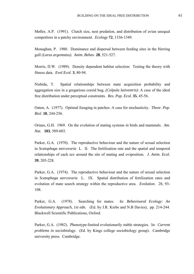Møller, A.P. (1991). Clutch size, nest predation, and distribution of avian unequal competitors in a patchy environment. *Ecology* **72**, 1336-1349.

Monaghan, P. 1980. Dominance and dispersal between feeding sites in the Herring gull (*Larus argentatus). Anim. Behav.* **28**, 521-527.

Morris, D.W. (1989). Density dependent habitat selection: Testing the theory with fitness data. *Evol Ecol.* **3**, 80-94.

Nishida, T. Spatial relationships between mate acquisition probability and aggregation size in a gregarious coreid bug, *(Colpula lativentris)*: A case of the ideal free distribution under perceptual constraints. *Res. Pop. Ecol.* **35**, 45-56.

Oaten, A. (1977). Optimal foraging in patches: A case for stochasticity. *Theor. Pop. Biol.* **18**, 244-256.

Orians, G.H. 1969. On the evolution of mating systems in birds and mammals. *Am. Nat.* **103**, 589-603.

Parker, G.A. (1970). The reproductive behaviour and the nature of sexual selection in *Scatophaga stercoraria* L. II. The fertilization rate and the spatial and temporal relationships of each sex around the site of mating and oviposition. *J. Anim. Ecol.*  **39**, 205-228.

Parker, G.A. (1974). The reproductive behaviour and the nature of sexual selection in *Scatophaga stercoraria* L. IX. Spatial distribution of fertilization rates and evolution of mate search strategy within the reproductive area. *Evolution*. 28, 93- 108.

Parker, G.A. (1978). Searching for mates. In: *Behavioural Ecology: An Evolutionary Approach, 1st edn.* (Ed. by J.R. Krebs and N.B Davies), pp. 214-244. Blackwell Scientific Publications, Oxford.

Parker, G.A. (1982). Phenotype-limited evolutionarily stable strategies. In: *Current problems in sociobiology*. (Ed. by Kings college sociobiology group). Cambridge university press. Cambridge.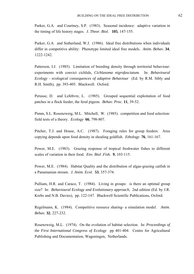Parker, G.A. and Courtney, S.P. (1983). Seasonal incidence: adaptive variation in the timing of life history stages. *J. Theor. Biol.* **105**, 147-155.

Parker, G.A. and Sutherland, W.J. (1986). Ideal free distributions when individuals differ in competitive ability: Phenotype limited ideal free models. *Anim. Behav.* **34**, 1222-1242.

Patterson, I.J. (1985). Limitation of breeding density through territorial behaviour: experiments with convict cichlids, *Cichlasoma nigrofasciatum.* In: *Behavioural Ecology - ecological consequences of adaptive Behaviour* (Ed. by R.M. Sibly and R.H. Smith), pp. 393-405. Blackwell. Oxford.

Perusse, D. and Lefebvre, L. (1985). Grouped sequential exploitation of food patches in a flock feeder, the feral pigeon. *Behav. Proc.* **11**, 39-52.

Pimm, S.L. Rosenzweig, M.L. Mitchell, W. (1985). competition and food selection: field tests of a theory. *Ecology* **66**, 798-807.

Pitcher, T.J. and House, A.C. (1987). Foraging rules for group feeders: Area copying depends upon food density in shoaling goldfish. *Ethology* **76**, 161-167.

Power, M.E. (1983). Grazing response of tropical freshwater fishes to different scales of variation in their food. *Env. Biol .Fish.* **9**, 103-115.

Power, M.E. (1984). Habitat Quality and the distribution of algae-grazing catfish in a Panamanian stream. *J. Anim. Ecol.* **53**, 357-374.

Pulliam, H.R. and Caraco, T. (1984). Living in groups: is there an optimal group size? In: *Behavioural Ecology and Evolutionary approach,* 2nd edition (Ed. by J.R. Krebs and N.B. Davies), pp. 122-147. Blackwell Scientific Publications, Oxford.

Regelmann, K. (1984). Competitive resource sharing- a simulation model. *Anim. Behav.* **32**, 227-232.

Rosenzweig, M.L. (1974). On the evolution of habitat selection. In: *Proceedings of the First International Congress of Ecology* pp 401-404. Centre for Agricultural Publishing and Documentation, Wageningen, Netherlands.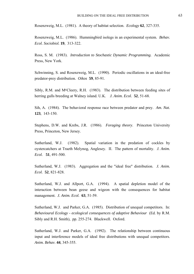Rosenzweig, M.L. (1981). A theory of habitat selection. *Ecology* **62**, 327-335.

Rosenzweig, M.L. (1986). Hummingbird isolegs in an experimental system. *Behav. Ecol. Sociobiol.* **19**, 313-322.

Ross, S. M. (1983). *Introduction to Stochastic Dynamic Programming.* Academic Press, New York.

Schwinning, S. and Rosenzweig, M.L. (1990). Periodic oscillations in an ideal-free predator-prey distribution. *Oikos* **59**, 85-91.

Sibly, R.M. and M<sup>c</sup>Cleery, R.H. (1983). The distribution between feeding sites of herring gulls breeding at Walney island. U.K. *J. Anim. Ecol.* **52**, 51-68.

Sih, A. (1984). The behavioral response race between predator and prey. *Am. Nat.*  **123**, 143-150.

Stephens, D.W. and Krebs, J.R. (1986). *Foraging theory*. Princeton University Press, Princeton, New Jersey.

Sutherland, W.J. (1982). Spatial variation in the predation of cockles by oystercatchers at Traeth Melynog, Anglesey. II. The pattern of mortality. *J. Anim. Ecol.* **51**, 491-500.

Sutherland, W.J. (1983). Aggregation and the "ideal free" distribution. *J. Anim. Ecol.* **52**, 821-828.

Sutherland, W.J. and Allport, G.A. (1994). A spatial depletion model of the interaction between bean geese and wigeon with the consequences for habitat management. *J. Anim. Ecol.* **63**, 51-59.

Sutherland, W.J. and Parker, G.A. (1985). Distribution of unequal competitors. In: *Behavioural Ecology - ecological consequences of adaptive Behaviour* (Ed. by R.M. Sibly and R.H. Smith), pp. 255-274. Blackwell. Oxford.

Sutherland, W.J. and Parker, G.A. (1992). The relationship between continuous input and interference models of ideal free distributions with unequal competitors. *Anim. Behav.* **44**, 345-355.